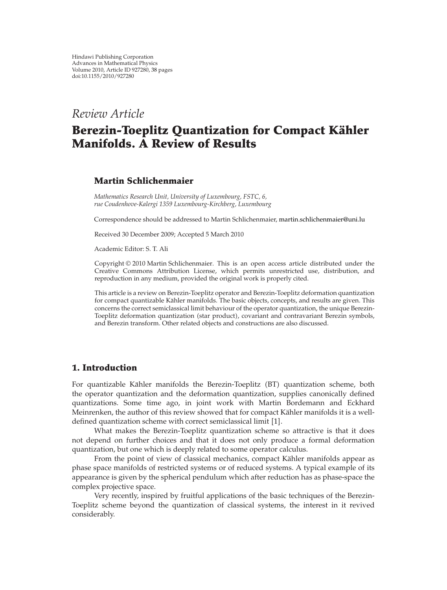# *Review Article*

# **Berezin-Toeplitz Quantization for Compact Kähler Manifolds. A Review of Results**

# **Martin Schlichenmaier**

*Mathematics Research Unit, University of Luxembourg, FSTC, 6, rue Coudenhove-Kalergi 1359 Luxembourg-Kirchberg, Luxembourg*

Correspondence should be addressed to Martin Schlichenmaier, martin.schlichenmaier@uni.lu

Received 30 December 2009; Accepted 5 March 2010

Academic Editor: S. T. Ali

Copyright © 2010 Martin Schlichenmaier. This is an open access article distributed under the Creative Commons Attribution License, which permits unrestricted use, distribution, and reproduction in any medium, provided the original work is properly cited.

This article is a review on Berezin-Toeplitz operator and Berezin-Toeplitz deformation quantization for compact quantizable Kähler manifolds. The basic objects, concepts, and results are given. This concerns the correct semiclassical limit behaviour of the operator quantization, the unique Berezin-Toeplitz deformation quantization (star product), covariant and contravariant Berezin symbols, and Berezin transform. Other related objects and constructions are also discussed.

# **1. Introduction**

For quantizable Kähler manifolds the Berezin-Toeplitz (BT) quantization scheme, both the operator quantization and the deformation quantization, supplies canonically defined quantizations. Some time ago, in joint work with Martin Bordemann and Eckhard Meinrenken, the author of this review showed that for compact Kähler manifolds it is a welldefined quantization scheme with correct semiclassical limit [1].

What makes the Berezin-Toeplitz quantization scheme so attractive is that it does not depend on further choices and that it does not only produce a formal deformation quantization, but one which is deeply related to some operator calculus.

From the point of view of classical mechanics, compact Kähler manifolds appear as phase space manifolds of restricted systems or of reduced systems. A typical example of its appearance is given by the spherical pendulum which after reduction has as phase-space the complex projective space.

Very recently, inspired by fruitful applications of the basic techniques of the Berezin-Toeplitz scheme beyond the quantization of classical systems, the interest in it revived considerably.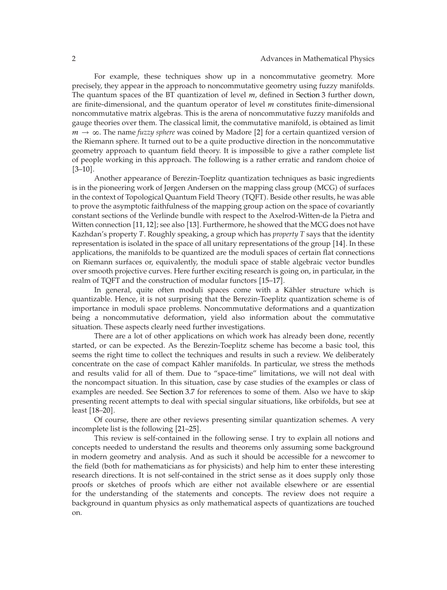For example, these techniques show up in a noncommutative geometry. More precisely, they appear in the approach to noncommutative geometry using fuzzy manifolds. The quantum spaces of the BT quantization of level *m*, defined in Section 3 further down, are finite-dimensional, and the quantum operator of level *m* constitutes finite-dimensional noncommutative matrix algebras. This is the arena of noncommutative fuzzy manifolds and gauge theories over them. The classical limit, the commutative manifold, is obtained as limit *m* → ∞. The name *fuzzy sphere* was coined by Madore [2] for a certain quantized version of the Riemann sphere. It turned out to be a quite productive direction in the noncommutative geometry approach to quantum field theory. It is impossible to give a rather complete list of people working in this approach. The following is a rather erratic and random choice of  $[3-10]$ .

Another appearance of Berezin-Toeplitz quantization techniques as basic ingredients is in the pioneering work of Jørgen Andersen on the mapping class group (MCG) of surfaces in the context of Topological Quantum Field Theory (TQFT). Beside other results, he was able to prove the asymptotic faithfulness of the mapping group action on the space of covariantly constant sections of the Verlinde bundle with respect to the Axelrod-Witten-de la Pietra and Witten connection  $[11, 12]$ ; see also  $[13]$ . Furthermore, he showed that the MCG does not have Kazhdan's property *T*. Roughly speaking, a group which has *property T* says that the identity representation is isolated in the space of all unitary representations of the group  $[14]$ . In these applications, the manifolds to be quantized are the moduli spaces of certain flat connections on Riemann surfaces or, equivalently, the moduli space of stable algebraic vector bundles over smooth projective curves. Here further exciting research is going on, in particular, in the realm of TQFT and the construction of modular functors [15–17].

In general, quite often moduli spaces come with a Kähler structure which is quantizable. Hence, it is not surprising that the Berezin-Toeplitz quantization scheme is of importance in moduli space problems. Noncommutative deformations and a quantization being a noncommutative deformation, yield also information about the commutative situation. These aspects clearly need further investigations.

There are a lot of other applications on which work has already been done, recently started, or can be expected. As the Berezin-Toeplitz scheme has become a basic tool, this seems the right time to collect the techniques and results in such a review. We deliberately concentrate on the case of compact Kähler manifolds. In particular, we stress the methods and results valid for all of them. Due to "space-time" limitations, we will not deal with the noncompact situation. In this situation, case by case studies of the examples or class of examples are needed. See Section 3.7 for references to some of them. Also we have to skip presenting recent attempts to deal with special singular situations, like orbifolds, but see at least  $[18–20]$ .

Of course, there are other reviews presenting similar quantization schemes. A very incomplete list is the following [21–25].

This review is self-contained in the following sense. I try to explain all notions and concepts needed to understand the results and theorems only assuming some background in modern geometry and analysis. And as such it should be accessible for a newcomer to the field (both for mathematicians as for physicists) and help him to enter these interesting research directions. It is not self-contained in the strict sense as it does supply only those proofs or sketches of proofs which are either not available elsewhere or are essential for the understanding of the statements and concepts. The review does not require a background in quantum physics as only mathematical aspects of quantizations are touched on.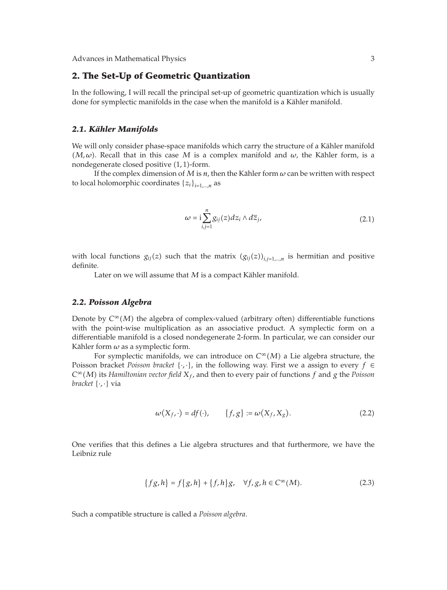# **2. The Set-Up of Geometric Quantization**

In the following, I will recall the principal set-up of geometric quantization which is usually done for symplectic manifolds in the case when the manifold is a Kähler manifold.

### *2.1. Kahler Manifolds ¨*

We will only consider phase-space manifolds which carry the structure of a Kähler manifold  $(M, \omega)$ . Recall that in this case *M* is a complex manifold and  $\omega$ , the Kähler form, is a nondegenerate closed positive (1,1)-form.

If the complex dimension of  $M$  is  $n$ , then the Kähler form  $\omega$  can be written with respect to local holomorphic coordinates  $\{z_i\}_{i=1,\dots,n}$  as

$$
\omega = i \sum_{i,j=1}^{n} g_{ij}(z) dz_i \wedge d\overline{z}_j, \qquad (2.1)
$$

with local functions  $g_{ij}(z)$  such that the matrix  $(g_{ij}(z))_{i,j=1,...,n}$  is hermitian and positive definite.

Later on we will assume that  $M$  is a compact Kähler manifold.

### *2.2. Poisson Algebra*

Denote by  $C^{\infty}(M)$  the algebra of complex-valued (arbitrary often) differentiable functions with the point-wise multiplication as an associative product. A symplectic form on a differentiable manifold is a closed nondegenerate 2-form. In particular, we can consider our Kähler form  $\omega$  as a symplectic form.

For symplectic manifolds, we can introduce on  $C^{\infty}(M)$  a Lie algebra structure, the Poisson bracket *Poisson bracket*  $\{\cdot,\cdot\}$ , in the following way. First we a assign to every  $f \in$ *C*<sup>∞</sup>(*M*) its *Hamiltonian vector field*  $X_f$ , and then to every pair of functions *f* and *g* the *Poisson bracket* {·*,* ·} via

$$
\omega(X_f, \cdot) = df(\cdot), \qquad \{f, g\} := \omega(X_f, X_g). \tag{2.2}
$$

One verifies that this defines a Lie algebra structures and that furthermore, we have the Leibniz rule

$$
\{fg, h\} = f\{g, h\} + \{f, h\}g, \quad \forall f, g, h \in C^{\infty}(M). \tag{2.3}
$$

Such a compatible structure is called a *Poisson algebra*.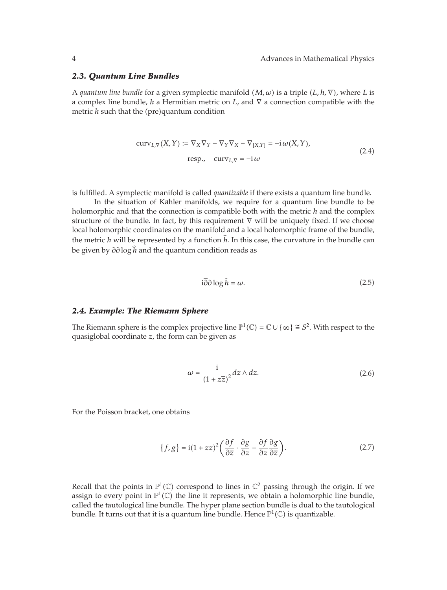### *2.3. Quantum Line Bundles*

A *quantum line bundle* for a given symplectic manifold  $(M, \omega)$  is a triple  $(L, h, \nabla)$ , where L is a complex line bundle, *h* a Hermitian metric on *L*, and ∇ a connection compatible with the metric *h* such that the (pre)quantum condition

$$
curv_{L,\nabla}(X,Y) := \nabla_X \nabla_Y - \nabla_Y \nabla_X - \nabla_{[X,Y]} = -i \omega(X,Y),
$$
  
resp., 
$$
curv_{L,\nabla} = -i \omega
$$
 (2.4)

is fulfilled. A symplectic manifold is called *quantizable* if there exists a quantum line bundle.

In the situation of Kähler manifolds, we require for a quantum line bundle to be holomorphic and that the connection is compatible both with the metric *h* and the complex structure of the bundle. In fact, by this requirement ∇ will be uniquely fixed. If we choose local holomorphic coordinates on the manifold and a local holomorphic frame of the bundle, the metric *<sup>h</sup>* will be represented by a function *<sup>h</sup>*. In this case, the curvature in the bundle can be given by *∂∂* log *<sup>h</sup>* and the quantum condition reads as

$$
i\partial\partial\log\hat{h} = \omega.
$$
 (2.5)

## *2.4. Example: The Riemann Sphere*

The Riemann sphere is the complex projective line  $\mathbb{P}^1(\mathbb{C}) = \mathbb{C} \cup \{\infty\} \cong S^2$ . With respect to the quasiglobal coordinate *z*, the form can be given as

$$
\omega = \frac{i}{\left(1 + z\overline{z}\right)^2} dz \wedge d\overline{z}.\tag{2.6}
$$

For the Poisson bracket, one obtains

$$
\{f,g\} = \mathbf{i}(1+z\overline{z})^2 \left(\frac{\partial f}{\partial \overline{z}} \cdot \frac{\partial g}{\partial z} - \frac{\partial f}{\partial z} \frac{\partial g}{\partial \overline{z}}\right). \tag{2.7}
$$

Recall that the points in  $\mathbb{P}^1(\mathbb{C})$  correspond to lines in  $\mathbb{C}^2$  passing through the origin. If we assign to every point in  $\mathbb{P}^1(\mathbb{C})$  the line it represents, we obtain a holomorphic line bundle, called the tautological line bundle. The hyper plane section bundle is dual to the tautological bundle. It turns out that it is a quantum line bundle. Hence  $\mathbb{P}^1(\mathbb{C})$  is quantizable.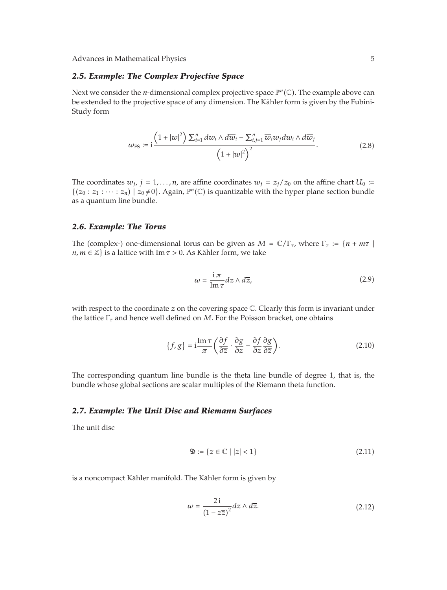# *2.5. Example: The Complex Projective Space*

Next we consider the *n*-dimensional complex projective space  $\mathbb{P}^n(\mathbb{C})$ . The example above can be extended to the projective space of any dimension. The Kähler form is given by the Fubini-Study form

$$
\omega_{\rm FS} := i \frac{\left(1+|w|^2\right) \sum_{i=1}^n dw_i \wedge d\overline{w}_i - \sum_{i,j=1}^n \overline{w}_i w_j dw_i \wedge d\overline{w}_j}{\left(1+|w|^2\right)^2}.
$$
\n(2.8)

The coordinates  $w_j$ ,  $j = 1, ..., n$ , are affine coordinates  $w_j = z_j/z_0$  on the affine chart  $U_0 :=$  $\{(z_0 : z_1 : \cdots : z_n) \mid z_0 \neq 0\}$ . Again,  $\mathbb{P}^n(\mathbb{C})$  is quantizable with the hyper plane section bundle as a quantum line bundle.

### *2.6. Example: The Torus*

The (complex-) one-dimensional torus can be given as  $M = \mathbb{C}/\Gamma_{\tau}$ , where  $\Gamma_{\tau} := \{n + m\tau \mid \tau \in \mathbb{C}\}$  $n, m \in \mathbb{Z}$  is a lattice with Im  $\tau > 0$ . As Kähler form, we take

$$
\omega = \frac{\mathrm{i}\,\pi}{\mathrm{Im}\,\tau} dz \wedge d\overline{z},\tag{2.9}
$$

with respect to the coordinate *z* on the covering space C. Clearly this form is invariant under the lattice Γ*<sup>τ</sup>* and hence well defined on *M*. For the Poisson bracket, one obtains

$$
\{f,g\} = \mathbf{i}\frac{\operatorname{Im}\tau}{\pi} \left(\frac{\partial f}{\partial \overline{z}} \cdot \frac{\partial g}{\partial z} - \frac{\partial f}{\partial z} \frac{\partial g}{\partial \overline{z}}\right).
$$
 (2.10)

The corresponding quantum line bundle is the theta line bundle of degree 1, that is, the bundle whose global sections are scalar multiples of the Riemann theta function.

### *2.7. Example: The Unit Disc and Riemann Surfaces*

The unit disc

$$
\mathfrak{D} := \{ z \in \mathbb{C} \mid |z| < 1 \} \tag{2.11}
$$

is a noncompact Kähler manifold. The Kähler form is given by

$$
\omega = \frac{2i}{\left(1 - z\overline{z}\right)^2} dz \wedge d\overline{z}.\tag{2.12}
$$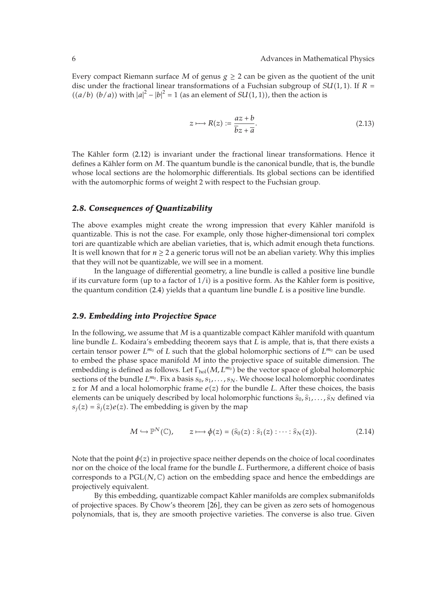Every compact Riemann surface *M* of genus  $g \ge 2$  can be given as the quotient of the unit disc under the fractional linear transformations of a Fuchsian subgroup of  $SU(1,1)$ . If  $R =$  $((a/b)$   $(b/a))$  with  $|a|^2 - |b|^2 = 1$  (as an element of *SU*(1, 1)), then the action is

$$
z \longmapsto R(z) := \frac{az + b}{\overline{bz} + \overline{a}}.\tag{2.13}
$$

The Kähler form (2.12) is invariant under the fractional linear transformations. Hence it defines a Kähler form on M. The quantum bundle is the canonical bundle, that is, the bundle whose local sections are the holomorphic differentials. Its global sections can be identified with the automorphic forms of weight 2 with respect to the Fuchsian group.

## *2.8. Consequences of Quantizability*

The above examples might create the wrong impression that every Kähler manifold is quantizable. This is not the case. For example, only those higher-dimensional tori complex tori are quantizable which are abelian varieties, that is, which admit enough theta functions. It is well known that for  $n \geq 2$  a generic torus will not be an abelian variety. Why this implies that they will not be quantizable, we will see in a moment.

In the language of differential geometry, a line bundle is called a positive line bundle if its curvature form (up to a factor of 1/i) is a positive form. As the Kähler form is positive, the quantum condition (2.4) yields that a quantum line bundle *L* is a positive line bundle.

### *2.9. Embedding into Projective Space*

In the following, we assume that  $M$  is a quantizable compact Kähler manifold with quantum line bundle *L*. Kodaira's embedding theorem says that *L* is ample, that is, that there exists a certain tensor power  $L^{m_0}$  of *L* such that the global holomorphic sections of  $L^{m_0}$  can be used to embed the phase space manifold *M* into the projective space of suitable dimension. The embedding is defined as follows. Let  $\Gamma_{hol}(M, L^{m_0})$  be the vector space of global holomorphic sections of the bundle  $L^{m_0}$ . Fix a basis  $s_0, s_1, \ldots, s_N$ . We choose local holomorphic coordinates *z* for *M* and a local holomorphic frame  $e(z)$  for the bundle *L*. After these choices, the basis elements can be uniquely described by local holomorphic functions  $\hat{s}_0, \hat{s}_1, \ldots, \hat{s}_N$  defined via  $s_j(z) = \hat{s}_j(z)e(z)$ . The embedding is given by the map

$$
M \hookrightarrow \mathbb{P}^N(\mathbb{C}), \qquad z \longmapsto \phi(z) = (\widehat{s}_0(z) : \widehat{s}_1(z) : \cdots : \widehat{s}_N(z)). \tag{2.14}
$$

Note that the point  $\phi(z)$  in projective space neither depends on the choice of local coordinates nor on the choice of the local frame for the bundle *L*. Furthermore, a different choice of basis corresponds to a  $PGL(N,\mathbb{C})$  action on the embedding space and hence the embeddings are projectively equivalent.

By this embedding, quantizable compact Kähler manifolds are complex submanifolds of projective spaces. By Chow's theorem 26, they can be given as zero sets of homogenous polynomials, that is, they are smooth projective varieties. The converse is also true. Given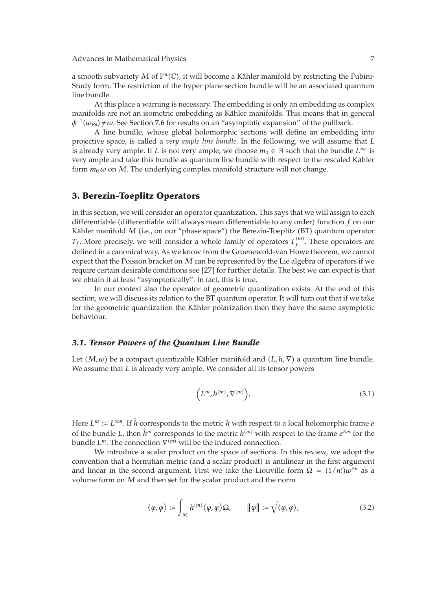a smooth subvariety  $M$  of  $\mathbb{P}^n(\mathbb{C})$ , it will become a Kähler manifold by restricting the Fubini-Study form. The restriction of the hyper plane section bundle will be an associated quantum line bundle.

At this place a warning is necessary. The embedding is only an embedding as complex manifolds are not an isometric embedding as Kähler manifolds. This means that in general  $\phi$ <sup>-1</sup>( $\omega$ <sub>FS</sub>) ≠  $\omega$ . See Section 7.6 for results on an "asymptotic expansion" of the pullback.

A line bundle, whose global holomorphic sections will define an embedding into projective space, is called a *very ample line bundle*. In the following, we will assume that *L* is already very ample. If *L* is not very ample, we choose  $m_0 \in \mathbb{N}$  such that the bundle  $L^{m_0}$  is very ample and take this bundle as quantum line bundle with respect to the rescaled Kähler form  $m_0 \omega$  on *M*. The underlying complex manifold structure will not change.

# **3. Berezin-Toeplitz Operators**

In this section, we will consider an operator quantization. This says that we will assign to each differentiable (differentiable will always mean differentiable to any order) function *f* on our Kähler manifold M (i.e., on our "phase space") the Berezin-Toeplitz (BT) quantum operator *T<sub>f</sub>*. More precisely, we will consider a whole family of operators  $T_f^{(m)}$ . These operators are defined in a canonical way. As we know from the Groenewold-van Howe theorem, we cannot expect that the Poisson bracket on *M* can be represented by the Lie algebra of operators if we require certain desirable conditions see [27] for further details. The best we can expect is that we obtain it at least "asymptotically". In fact, this is true.

In our context also the operator of geometric quantization exists. At the end of this section, we will discuss its relation to the BT quantum operator. It will turn out that if we take for the geometric quantization the Kähler polarization then they have the same asymptotic behaviour.

### *3.1. Tensor Powers of the Quantum Line Bundle*

Let  $(M, \omega)$  be a compact quantizable Kähler manifold and  $(L, h, \nabla)$  a quantum line bundle. We assume that *L* is already very ample. We consider all its tensor powers

$$
\left(L^m, h^{(m)}, \nabla^{(m)}\right). \tag{3.1}
$$

Here  $L^m := L^{\otimes m}$ . If *h* corresponds to the metric *h* with respect to a local holomorphic frame *e* of the bundle *L*, then  $\hat{h}^m$  corresponds to the metric  $h^{(m)}$  with respect to the frame  $e^{\otimes m}$  for the bundle *L<sup>m</sup>*. The connection  $∇^{(m)}$  will be the induced connection.

We introduce a scalar product on the space of sections. In this review, we adopt the convention that a hermitian metric (and a scalar product) is antilinear in the first argument and linear in the second argument. First we take the Liouville form  $\Omega = (1/n!) \omega^{n}$  as a volume form on *M* and then set for the scalar product and the norm

$$
\langle \varphi, \varphi \rangle := \int_M h^{(m)}(\varphi, \varphi) \Omega, \qquad \|\varphi\| := \sqrt{\langle \varphi, \varphi \rangle}, \tag{3.2}
$$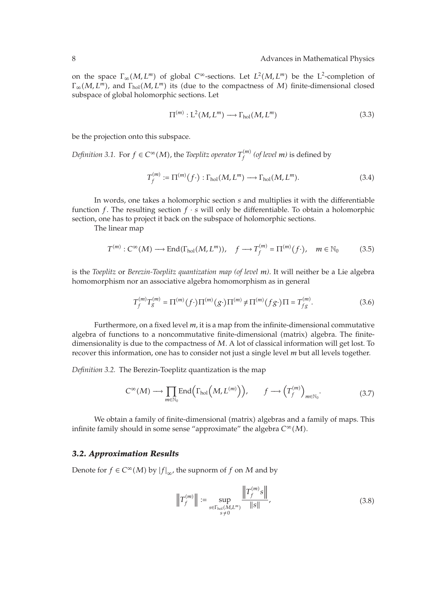on the space  $\Gamma_{\infty}(M, L^m)$  of global  $C^{\infty}$ -sections. Let  $L^2(M, L^m)$  be the  $L^2$ -completion of  $Γ<sub>∞</sub>(M, L<sup>m</sup>)$ , and  $Γ<sub>hol</sub>(M, L<sup>m</sup>)$  its (due to the compactness of *M*) finite-dimensional closed subspace of global holomorphic sections. Let

$$
\Pi^{(m)}: L^2(M, L^m) \longrightarrow \Gamma_{hol}(M, L^m)
$$
\n(3.3)

be the projection onto this subspace.

*Definition 3.1.* For  $f \in C^{\infty}(M)$ , the *Toeplitz operator*  $T_f^{(m)}$  (*of level m*) is defined by

$$
T_f^{(m)} := \Pi^{(m)}(f \cdot) : \Gamma_{\text{hol}}(M, L^m) \longrightarrow \Gamma_{\text{hol}}(M, L^m). \tag{3.4}
$$

In words, one takes a holomorphic section *s* and multiplies it with the differentiable function *f*. The resulting section  $f \cdot s$  will only be differentiable. To obtain a holomorphic section, one has to project it back on the subspace of holomorphic sections.

The linear map

$$
T^{(m)}: C^{\infty}(M) \longrightarrow \text{End}(\Gamma_{\text{hol}}(M, L^{m})), \quad f \longrightarrow T_{f}^{(m)} = \Pi^{(m)}(f \cdot), \quad m \in \mathbb{N}_{0}
$$
 (3.5)

is the *Toeplitz* or *Berezin-Toeplitz quantization map (of level m)*. It will neither be a Lie algebra homomorphism nor an associative algebra homomorphism as in general

$$
T_f^{(m)}T_g^{(m)} = \Pi^{(m)}(f \cdot) \Pi^{(m)}(g \cdot) \Pi^{(m)} \neq \Pi^{(m)}(fg \cdot) \Pi = T_{fg}^{(m)}.
$$
 (3.6)

Furthermore, on a fixed level *m*, it is a map from the infinite-dimensional commutative algebra of functions to a noncommutative finite-dimensional (matrix) algebra. The finitedimensionality is due to the compactness of *M*. A lot of classical information will get lost. To recover this information, one has to consider not just a single level *m* but all levels together.

*Definition 3.2.* The Berezin-Toeplitz quantization is the map

$$
C^{\infty}(M) \longrightarrow \prod_{m \in \mathbb{N}_0} \text{End}\left(\Gamma_{\text{hol}}\left(M, L^{(m)}\right)\right), \qquad f \longrightarrow \left(T_f^{(m)}\right)_{m \in \mathbb{N}_0}.\tag{3.7}
$$

We obtain a family of finite-dimensional (matrix) algebras and a family of maps. This infinite family should in some sense "approximate" the algebra  $C^{\infty}(M)$ .

# *3.2. Approximation Results*

Denote for  $f \in C^{\infty}(M)$  by  $|f|_{\infty}$ , the supnorm of  $f$  on  $M$  and by

$$
\left\| T_f^{(m)} \right\| := \sup_{\substack{s \in \Gamma_{\text{hol}}(M, L^m) \\ s \neq 0}} \frac{\left\| T_f^{(m)} s \right\|}{\| s \|},\tag{3.8}
$$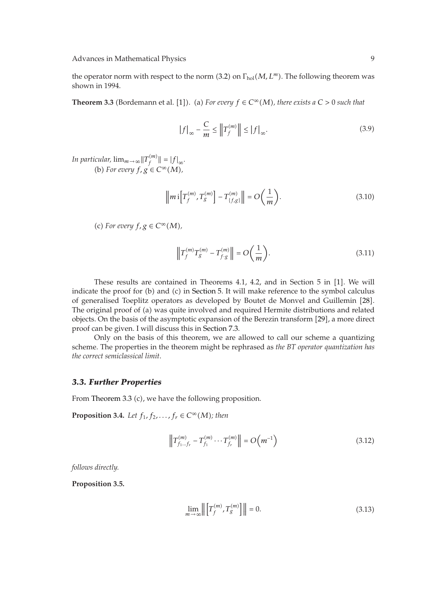the operator norm with respect to the norm (3.2) on Γ<sub>hol</sub>(*M*, *L<sup>m</sup>*). The following theorem was shown in 1994.

**Theorem 3.3** (Bordemann et al. [1]). (a) For every  $f \in C^{\infty}(M)$ , there exists a  $C > 0$  such that

$$
\left|f\right|_{\infty} - \frac{C}{m} \le \left\|T_f^{(m)}\right\| \le \left|f\right|_{\infty}.\tag{3.9}
$$

*In particular,*  $\lim_{m\to\infty}$  $||T_f^{(m)}|| = |f|_{\infty}$ . (b) For every  $f, g \in C^{\infty}(M)$ ,

$$
\left\| m \, \mathrm{i} \left[ T_f^{(m)}, T_g^{(m)} \right] - T_{\{f,g\}}^{(m)} \right\| = O\!\left(\frac{1}{m}\right). \tag{3.10}
$$

(c) For every  $f, g \in C^{\infty}(M)$ ,

$$
\left\| T_f^{(m)} T_g^{(m)} - T_{f \cdot g}^{(m)} \right\| = O\left(\frac{1}{m}\right). \tag{3.11}
$$

These results are contained in Theorems 4.1, 4.2, and in Section 5 in [1]. We will indicate the proof for (b) and (c) in Section 5. It will make reference to the symbol calculus of generalised Toeplitz operators as developed by Boutet de Monvel and Guillemin 28. The original proof of (a) was quite involved and required Hermite distributions and related objects. On the basis of the asymptotic expansion of the Berezin transform [29], a more direct proof can be given. I will discuss this in Section 7.3.

Only on the basis of this theorem, we are allowed to call our scheme a quantizing scheme. The properties in the theorem might be rephrased as *the BT operator quantization has the correct semiclassical limit*.

### *3.3. Further Properties*

From Theorem 3.3 (c), we have the following proposition.

**Proposition 3.4.** *Let*  $f_1, f_2, ..., f_r \in C^\infty(M)$ ; *then* 

$$
\left\| T_{f_1 \dots f_r}^{(m)} - T_{f_1}^{(m)} \dots T_{f_r}^{(m)} \right\| = O\left( m^{-1} \right)
$$
\n(3.12)

*follows directly.*

**Proposition 3.5.**

$$
\lim_{m \to \infty} \left\| \left[ T_f^{(m)}, T_g^{(m)} \right] \right\| = 0.
$$
\n(3.13)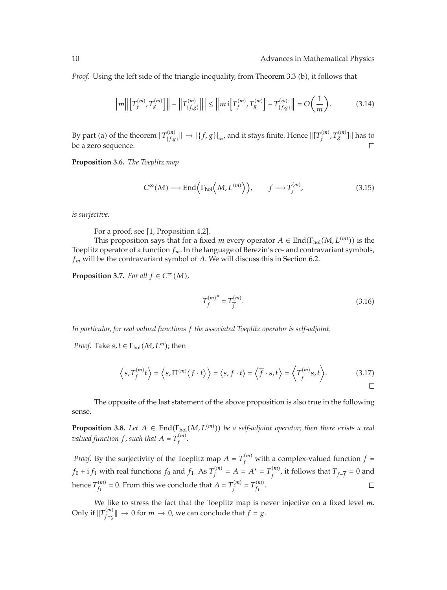*Proof.* Using the left side of the triangle inequality, from Theorem 3.3 (b), it follows that

$$
\left| m \middle\| \left[ T_f^{(m)}, T_g^{(m)} \right] \right\| - \left\| T_{\{f,g\}}^{(m)} \right\| \le \left\| m \, \mathrm{i} \left[ T_f^{(m)}, T_g^{(m)} \right] - T_{\{f,g\}}^{(m)} \right\| = O\left( \frac{1}{m} \right). \tag{3.14}
$$

By part (a) of the theorem  $\|T^{(m)}_{\{f,g\}}\| \to |\{f,g\}|_{\infty}$ , and it stays finite. Hence  $\|[T^{(m)}_f,T^{(m)}_g]\|$  has to be a zero sequence.  $\Box$ 

**Proposition 3.6.** *The Toeplitz map*

$$
C^{\infty}(M) \longrightarrow \text{End}\left(\Gamma_{\text{hol}}\left(M, L^{(m)}\right)\right), \qquad f \longrightarrow T_f^{(m)}, \tag{3.15}
$$

*is surjective.*

For a proof, see [1, Proposition 4.2].

This proposition says that for a fixed *m* every operator  $A \in \text{End}(\Gamma_{\text{hol}}(M, L^{(m)}))$  is the Toeplitz operator of a function *fm*. In the language of Berezin's co- and contravariant symbols, *fm* will be the contravariant symbol of *A*. We will discuss this in Section 6.2.

**Proposition 3.7.** *For all*  $f \in C^{\infty}(M)$ *,* 

$$
T_f^{(m)*} = T_{\overline{f}}^{(m)}.
$$
\n(3.16)

*In particular, for real valued functions f the associated Toeplitz operator is self-adjoint.*

*Proof.* Take  $s, t \in \Gamma_{hol}(M, L^m)$ ; then

$$
\left\langle s, T_f^{(m)}t \right\rangle = \left\langle s, \Pi^{(m)}(f \cdot t) \right\rangle = \left\langle s, f \cdot t \right\rangle = \left\langle \overline{f} \cdot s, t \right\rangle = \left\langle T_{\overline{f}}^{(m)} s, t \right\rangle. \tag{3.17}
$$

The opposite of the last statement of the above proposition is also true in the following sense.

**Proposition 3.8.** Let  $A \in End(\Gamma_{hol}(M, L^{(m)}))$  be a self-adjoint operator; then there exists a real *valued function f, such that*  $A = T_f^{(m)}$ .

*Proof.* By the surjectivity of the Toeplitz map  $A = T_f^{(m)}$  with a complex-valued function  $f =$ *f*<sub>0</sub> + **i** *f*<sub>1</sub> with real functions *f*<sub>0</sub> and *f*<sub>1</sub>. As *T*<sup>(*m*)</sup> = *A* = *A*<sup>∗</sup> = *T*<sup>(*m*)</sup>, it follows that *T*<sub>*f*−*f*</sub> = 0 and hence  $T_{f_1}^{(m)} = 0$ . From this we conclude that  $A = T_f^{(m)} = T_{f_1}^{(m)}$ .  $\Box$ 

We like to stress the fact that the Toeplitz map is never injective on a fixed level *m*. Only if  $||T_{f-g}^{(m)}|| \to 0$  for  $m \to 0$ , we can conclude that  $f = g$ .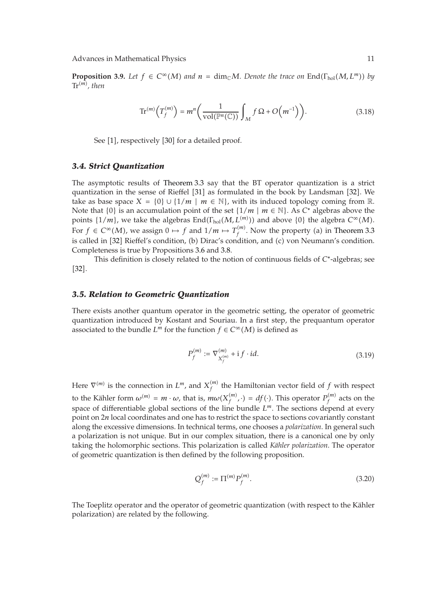Advances in Mathematical Physics 11 and 2012 11 and 2012 11 and 2012 11 and 2012 11 and 2012 11 and 2013 11 and 2014 11 and 2014 11 and 2014 12 and 2014 12 and 2014 12 and 2014 12 and 2014 12 and 2014 12 and 2014 12 and 20

**Proposition 3.9.** Let  $f \in C^{\infty}(M)$  and  $n = \dim_{\mathbb{C}} M$ . Denote the trace on  $\text{End}(\Gamma_{\text{hol}}(M, L^m))$  by  $\text{Tr}^{(m)}$ , then

$$
\operatorname{Tr}^{(m)}\left(T_f^{(m)}\right) = m^n \left(\frac{1}{\operatorname{vol}(\mathbb{P}^n(\mathbb{C}))} \int_M f \,\Omega + O\!\left(m^{-1}\right)\right). \tag{3.18}
$$

See [1], respectively [30] for a detailed proof.

### *3.4. Strict Quantization*

The asymptotic results of Theorem 3.3 say that the BT operator quantization is a strict quantization in the sense of Rieffel [31] as formulated in the book by Landsman [32]. We take as base space  $X = \{0\} \cup \{1/m \mid m \in \mathbb{N}\}\$ , with its induced topology coming from  $\mathbb{R}$ . Note that {0} is an accumulation point of the set  $\{1/m \mid m \in \mathbb{N}\}\$ . As  $C^*$  algebras above the points  $\{1/m\}$ , we take the algebras  $\text{End}(\Gamma_{hol}(M, L^{(m)}))$  and above  $\{0\}$  the algebra  $C^{\infty}(M)$ . For  $f \in C^{\infty}(M)$ , we assign  $0 \mapsto f$  and  $1/m \mapsto T_f^{(m)}$ . Now the property (a) in Theorem 3.3 is called in [32] Rieffel's condition, (b) Dirac's condition, and (c) von Neumann's condition. Completeness is true by Propositions 3.6 and 3.8.

This definition is closely related to the notion of continuous fields of *C*<sup>∗</sup>-algebras; see  $[32]$ .

#### *3.5. Relation to Geometric Quantization*

There exists another quantum operator in the geometric setting, the operator of geometric quantization introduced by Kostant and Souriau. In a first step, the prequantum operator associated to the bundle  $L^m$  for the function  $f \in C^\infty(M)$  is defined as

$$
P_f^{(m)} := \nabla_{X_f^{(m)}}^{(m)} + i f \cdot id. \tag{3.19}
$$

Here  $\nabla^{(m)}$  is the connection in  $L^m$ , and  $X_f^{(m)}$  the Hamiltonian vector field of  $f$  with respect to the Kähler form  $\omega^{(m)} = m \cdot \omega$ , that is,  $m\omega(X_f^{(m)}, \cdot) = df(\cdot)$ . This operator  $P_f^{(m)}$  acts on the space of differentiable global sections of the line bundle  $L^m$ . The sections depend at every point on 2*n* local coordinates and one has to restrict the space to sections covariantly constant along the excessive dimensions. In technical terms, one chooses a *polarization*. In general such a polarization is not unique. But in our complex situation, there is a canonical one by only taking the holomorphic sections. This polarization is called *Kahler polarization ¨* . The operator of geometric quantization is then defined by the following proposition.

$$
Q_f^{(m)} := \Pi^{(m)} P_f^{(m)}.
$$
\n(3.20)

The Toeplitz operator and the operator of geometric quantization (with respect to the Kähler polarization) are related by the following.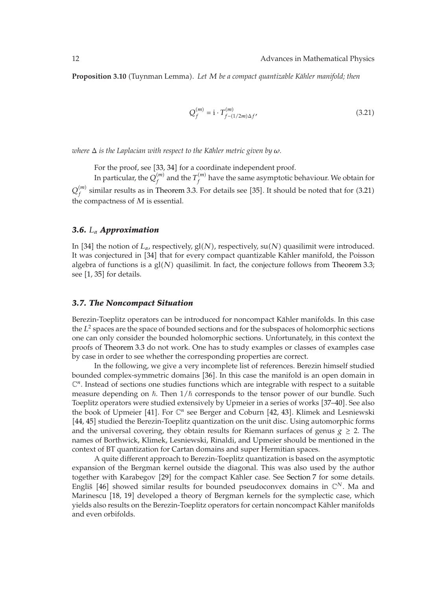**Proposition 3.10** (Tuynman Lemma). Let M be a compact quantizable Kähler manifold; then

$$
Q_f^{(m)} = \mathbf{i} \cdot T_{f-(1/2m)\Delta f'}^{(m)} \tag{3.21}
$$

*where*  $\Delta$  *is the Laplacian with respect to the Kähler metric given by*  $\omega$ *.* 

For the proof, see [33, 34] for a coordinate independent proof.

In particular, the  $Q_f^{(m)}$  and the  $T_f^{(m)}$  have the same asymptotic behaviour. We obtain for  $Q_f^{(m)}$  similar results as in Theorem 3.3. For details see [35]. It should be noted that for  $(3.21)$ the compactness of *M* is essential.

# *3.6. Lα Approximation*

In [34] the notion of  $L_{\alpha}$ , respectively, gl(N), respectively, su(N) quasilimit were introduced. It was conjectured in [34] that for every compact quantizable Kähler manifold, the Poisson algebra of functions is a  $gl(N)$  quasilimit. In fact, the conjecture follows from Theorem 3.3; see  $[1, 35]$  for details.

### *3.7. The Noncompact Situation*

Berezin-Toeplitz operators can be introduced for noncompact Kähler manifolds. In this case the  $L^2$  spaces are the space of bounded sections and for the subspaces of holomorphic sections one can only consider the bounded holomorphic sections. Unfortunately, in this context the proofs of Theorem 3.3 do not work. One has to study examples or classes of examples case by case in order to see whether the corresponding properties are correct.

In the following, we give a very incomplete list of references. Berezin himself studied bounded complex-symmetric domains [36]. In this case the manifold is an open domain in  $\mathbb{C}^n$ . Instead of sections one studies functions which are integrable with respect to a suitable measure depending on  $\hbar$ . Then  $1/\hbar$  corresponds to the tensor power of our bundle. Such Toeplitz operators were studied extensively by Upmeier in a series of works [37–40]. See also the book of Upmeier [41]. For  $\mathbb{C}^n$  see Berger and Coburn [42, 43]. Klimek and Lesniewski [44, 45] studied the Berezin-Toeplitz quantization on the unit disc. Using automorphic forms and the universal covering, they obtain results for Riemann surfaces of genus  $g \ge 2$ . The names of Borthwick, Klimek, Lesniewski, Rinaldi, and Upmeier should be mentioned in the context of BT quantization for Cartan domains and super Hermitian spaces.

A quite different approach to Berezin-Toeplitz quantization is based on the asymptotic expansion of the Bergman kernel outside the diagonal. This was also used by the author together with Karabegov [29] for the compact Kähler case. See Section 7 for some details. Engliš<sup>[46]</sup> showed similar results for bounded pseudoconvex domains in  $\mathbb{C}^N$ . Ma and Marinescu [18, 19] developed a theory of Bergman kernels for the symplectic case, which yields also results on the Berezin-Toeplitz operators for certain noncompact Kahler manifolds ¨ and even orbifolds.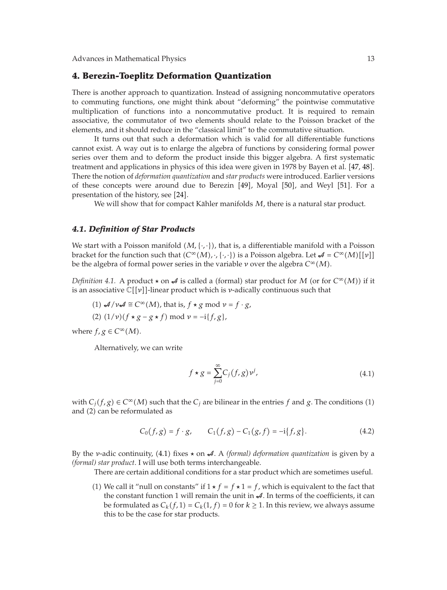# **4. Berezin-Toeplitz Deformation Quantization**

There is another approach to quantization. Instead of assigning noncommutative operators to commuting functions, one might think about "deforming" the pointwise commutative multiplication of functions into a noncommutative product. It is required to remain associative, the commutator of two elements should relate to the Poisson bracket of the elements, and it should reduce in the "classical limit" to the commutative situation.

It turns out that such a deformation which is valid for all differentiable functions cannot exist. A way out is to enlarge the algebra of functions by considering formal power series over them and to deform the product inside this bigger algebra. A first systematic treatment and applications in physics of this idea were given in 1978 by Bayen et al. [47, 48]. There the notion of *deformation quantization* and *star products* were introduced. Earlier versions of these concepts were around due to Berezin 49, Moyal 50, and Weyl 51. For a presentation of the history, see  $[24]$ .

We will show that for compact Kähler manifolds  $M$ , there is a natural star product.

# *4.1. Definition of Star Products*

We start with a Poisson manifold  $(M, \{\cdot,\cdot\})$ , that is, a differentiable manifold with a Poisson bracket for the function such that  $(C^{\infty}(M), \cdot, \{\cdot, \cdot\})$  is a Poisson algebra. Let  $\mathcal{A} = C^{\infty}(M)[[\nu]]$ be the algebra of formal power series in the variable *ν* over the algebra *C*<sup>∞</sup>-*M*.

*Definition* 4.1. A product  $\star$  on  $\mathcal{A}$  is called a (formal) star product for *M* (or for  $C^{\infty}(M)$ ) if it is an associative  $\mathbb{C}[[v]]$ -linear product which is *ν*-adically continuous such that

(1) 
$$
\mathcal{A}/v\mathcal{A} \cong C^{\infty}(M)
$$
, that is,  $f * g \mod v = f \cdot g$ ,  
(2)  $(1/v)(f * g - g * f) \mod v = -i\{f, g\}$ ,

where  $f, g \in C^{\infty}(M)$ .

Alternatively, we can write

$$
f \star g = \sum_{j=0}^{\infty} C_j(f, g) \nu^j,
$$
\n(4.1)

with  $C_j(f, g) \in C^\infty(M)$  such that the  $C_j$  are bilinear in the entries  $f$  and  $g$ . The conditions (1) and (2) can be reformulated as

$$
C_0(f,g) = f \cdot g, \qquad C_1(f,g) - C_1(g,f) = -i\{f,g\}.
$$
 (4.2)

By the *ν*-adic continuity, (4.1) fixes  $\star$  on *A*. A *(formal) deformation quantization* is given by a *(formal) star product*. I will use both terms interchangeable.

There are certain additional conditions for a star product which are sometimes useful.

(1) We call it "null on constants" if  $1 \star f = f \star 1 = f$ , which is equivalent to the fact that the constant function 1 will remain the unit in  $\mathcal A$ . In terms of the coefficients, it can be formulated as  $C_k(f, 1) = C_k(1, f) = 0$  for  $k \ge 1$ . In this review, we always assume this to be the case for star products.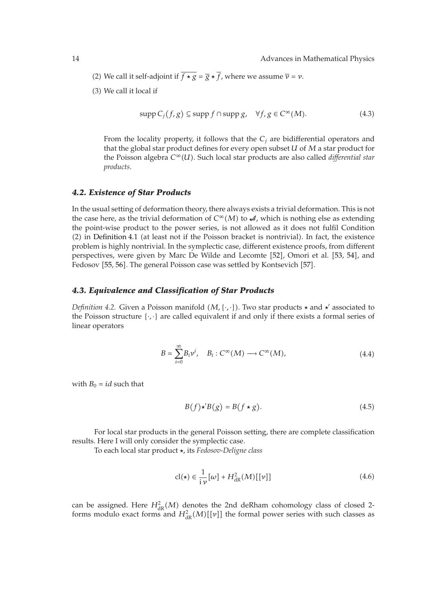- (2) We call it self-adjoint if  $f \star g = \overline{g} \star f$ , where we assume  $\overline{v} = v$ .
- (3) We call it local if

$$
supp Cj(f,g) \subseteq supp f \cap supp g, \quad \forall f, g \in C^{\infty}(M).
$$
 (4.3)

From the locality property, it follows that the  $C_i$  are bidifferential operators and that the global star product defines for every open subset *U* of *M* a star product for the Poisson algebra *C*<sup>∞</sup>-*U*. Such local star products are also called *differential star products*.

### *4.2. Existence of Star Products*

In the usual setting of deformation theory, there always exists a trivial deformation. This is not the case here, as the trivial deformation of  $C^{\infty}(M)$  to  $\mathcal{A}$ , which is nothing else as extending the point-wise product to the power series, is not allowed as it does not fulfil Condition  $(2)$  in Definition 4.1 (at least not if the Poisson bracket is nontrivial). In fact, the existence problem is highly nontrivial. In the symplectic case, different existence proofs, from different perspectives, were given by Marc De Wilde and Lecomte [52], Omori et al. [53, 54], and Fedosov [55, 56]. The general Poisson case was settled by Kontsevich [57].

### *4.3. Equivalence and Classification of Star Products*

*Definition 4.2.* Given a Poisson manifold  $(M, \{\cdot, \cdot\})$ . Two star products  $\star$  and  $\star'$  associated to the Poisson structure  $\{\cdot,\cdot\}$  are called equivalent if and only if there exists a formal series of linear operators

$$
B = \sum_{i=0}^{\infty} B_i v^i, \quad B_i : C^{\infty}(M) \longrightarrow C^{\infty}(M), \tag{4.4}
$$

with  $B_0 = id$  such that

$$
B(f) \star' B(g) = B(f \star g). \tag{4.5}
$$

For local star products in the general Poisson setting, there are complete classification results. Here I will only consider the symplectic case.

To each local star product , its *Fedosov-Deligne class*

$$
cl(\star) \in \frac{1}{i\nu} [\omega] + H_{dR}^2(M)[[\nu]] \tag{4.6}
$$

can be assigned. Here  $H_{\text{dR}}^2(M)$  denotes the 2nd deRham cohomology class of closed 2forms modulo exact forms and  $H_{dR}^2(M)[[v]]$  the formal power series with such classes as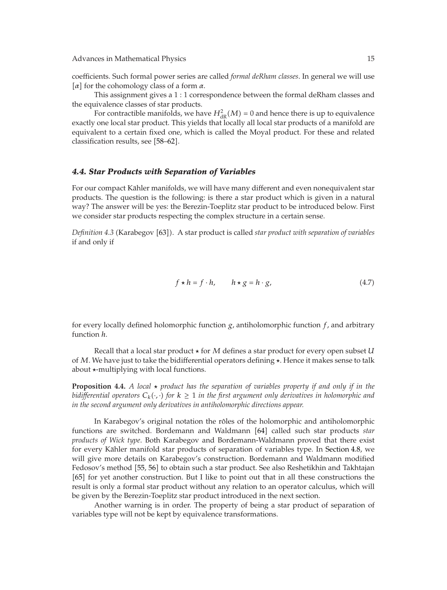coefficients. Such formal power series are called *formal deRham classes*. In general we will use  $\alpha$  for the cohomology class of a form  $\alpha$ .

This assignment gives a 1 : 1 correspondence between the formal deRham classes and the equivalence classes of star products.

For contractible manifolds, we have  $H^2_{dR}(M) = 0$  and hence there is up to equivalence exactly one local star product. This yields that locally all local star products of a manifold are equivalent to a certain fixed one, which is called the Moyal product. For these and related classification results, see [58–62].

### *4.4. Star Products with Separation of Variables*

For our compact Kähler manifolds, we will have many different and even nonequivalent star products. The question is the following: is there a star product which is given in a natural way? The answer will be yes: the Berezin-Toeplitz star product to be introduced below. First we consider star products respecting the complex structure in a certain sense.

Definition 4.3 (Karabegov [63]). A star product is called *star product with separation of variables* if and only if

$$
f \star h = f \cdot h, \qquad h \star g = h \cdot g,\tag{4.7}
$$

for every locally defined holomorphic function *g*, antiholomorphic function *f*, and arbitrary function *h*.

Recall that a local star product  for *M* defines a star product for every open subset *U* of *M*. We have just to take the bidifferential operators defining . Hence it makes sense to talk about -multiplying with local functions.

**Proposition 4.4.** *A local*  $\star$  *product has the separation of variables property if and only if in the bidifferential operators*  $C_k(\cdot,\cdot)$  *for*  $k\geq 1$  *in the first argument only derivatives in holomorphic and in the second argument only derivatives in antiholomorphic directions appear.*

In Karabegov's original notation the rôles of the holomorphic and antiholomorphic functions are switched. Bordemann and Waldmann [64] called such star products *star products of Wick type*. Both Karabegov and Bordemann-Waldmann proved that there exist for every Kähler manifold star products of separation of variables type. In Section 4.8, we will give more details on Karabegov's construction. Bordemann and Waldmann modified Fedosov's method [55, 56] to obtain such a star product. See also Reshetikhin and Takhtajan [65] for yet another construction. But I like to point out that in all these constructions the result is only a formal star product without any relation to an operator calculus, which will be given by the Berezin-Toeplitz star product introduced in the next section.

Another warning is in order. The property of being a star product of separation of variables type will not be kept by equivalence transformations.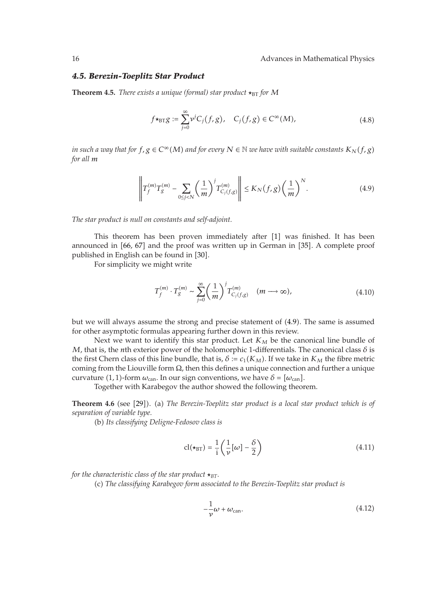#### *4.5. Berezin-Toeplitz Star Product*

**Theorem 4.5.** *There exists a unique (formal) star product*  $\star_{\text{BT}}$  *for M* 

$$
f \star_{\text{BT}} g := \sum_{j=0}^{\infty} \nu^j C_j(f, g), \quad C_j(f, g) \in C^{\infty}(M), \tag{4.8}
$$

 $i$ n such a way that for  $f, g \in C^{\infty}(M)$  and for every  $N \in \mathbb{N}$  we have with suitable constants  $K_N(f, g)$ *for all m*

$$
\left\| T_f^{(m)} T_g^{(m)} - \sum_{0 \le j < N} \left( \frac{1}{m} \right)^j T_{C_j(f,g)}^{(m)} \right\| \le K_N(f,g) \left( \frac{1}{m} \right)^N. \tag{4.9}
$$

*The star product is null on constants and self-adjoint.*

This theorem has been proven immediately after  $[1]$  was finished. It has been announced in  $[66, 67]$  and the proof was written up in German in  $[35]$ . A complete proof published in English can be found in [30].

For simplicity we might write

$$
T_f^{(m)} \cdot T_g^{(m)} \sim \sum_{j=0}^{\infty} \left(\frac{1}{m}\right)^j T_{C_j(f,g)}^{(m)} \quad (m \longrightarrow \infty),
$$
 (4.10)

but we will always assume the strong and precise statement of (4.9). The same is assumed for other asymptotic formulas appearing further down in this review.

Next we want to identify this star product. Let  $K_M$  be the canonical line bundle of *M*, that is, the *n*th exterior power of the holomorphic 1-differentials. The canonical class *δ* is the first Chern class of this line bundle, that is,  $\delta := c_1(K_M)$ . If we take in  $K_M$  the fibre metric coming from the Liouville form  $\Omega$ , then this defines a unique connection and further a unique curvature (1, 1)-form  $\omega_{\rm can}$ . In our sign conventions, we have  $\delta = [\omega_{\rm can}]$ .

Together with Karabegov the author showed the following theorem.

**Theorem 4.6** (see [29]). (a) The Berezin-Toeplitz star product is a local star product which is of *separation of variable type.*

-b *Its classifying Deligne-Fedosov class is*

$$
cl(\star_{BT}) = \frac{1}{i} \left( \frac{1}{\nu} [\omega] - \frac{\delta}{2} \right)
$$
 (4.11)

*for the characteristic class of the star product*  $\star_{BT}$ *.* 

(c) The classifying Karabegov form associated to the Berezin-Toeplitz star product is

$$
-\frac{1}{\nu}\omega + \omega_{\text{can}}.\tag{4.12}
$$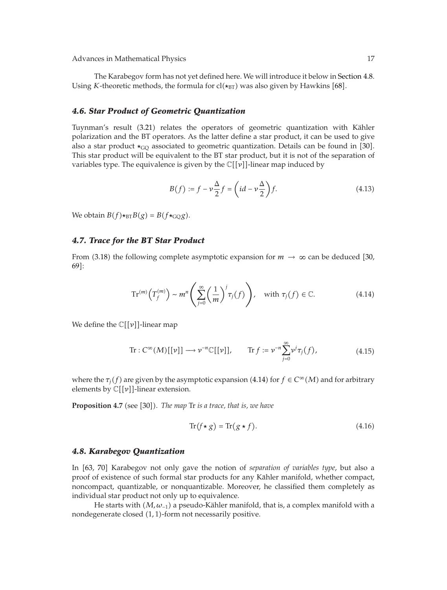Advances in Mathematical Physics 17 and 17 and 17 and 17 and 17 and 17 and 17 and 17 and 17 and 17 and 17 and 17 and 17 and 17 and 17 and 17 and 17 and 17 and 17 and 17 and 17 and 17 and 17 and 17 and 17 and 17 and 17 and

The Karabegov form has not yet defined here. We will introduce it below in Section 4.8. Using *K*-theoretic methods, the formula for  $cl(\star_{BT})$  was also given by Hawkins [68].

### *4.6. Star Product of Geometric Quantization*

Tuynman's result (3.21) relates the operators of geometric quantization with Kähler polarization and the BT operators. As the latter define a star product, it can be used to give also a star product  $\star_{\text{GQ}}$  associated to geometric quantization. Details can be found in [30]. This star product will be equivalent to the BT star product, but it is not of the separation of variables type. The equivalence is given by the  $\mathbb{C}[[v]]$ -linear map induced by

$$
B(f) := f - \nu \frac{\Delta}{2} f = \left(id - \nu \frac{\Delta}{2}\right) f. \tag{4.13}
$$

 $W$ e obtain  $B(f) \star_{BT} B(g) = B(f \star_{GQ} g)$ .

# *4.7. Trace for the BT Star Product*

From (3.18) the following complete asymptotic expansion for  $m \to \infty$  can be deduced [30, 69]:

$$
\operatorname{Tr}^{(m)}\left(T_f^{(m)}\right) \sim m^n \left(\sum_{j=0}^{\infty} \left(\frac{1}{m}\right)^j \tau_j(f)\right), \quad \text{with } \tau_j(f) \in \mathbb{C}.\tag{4.14}
$$

We define the *C*[[*ν*]]-linear map

$$
\text{Tr}: C^{\infty}(M)[[{\nu}]] \longrightarrow {\nu}^{-n} \mathbb{C}[[{\nu}]], \qquad \text{Tr} \ f := {\nu}^{-n} \sum_{j=0}^{\infty} {\nu}^{j} \tau_{j}(f), \tag{4.15}
$$

where the  $\tau_j(f)$  are given by the asymptotic expansion (4.14) for  $f \in C^{\infty}(M)$  and for arbitrary elements by  $\mathbb{C}[[v]]$ -linear extension.

**Proposition 4.7** (see [30]). The map Tr is a trace, that is, we have

$$
\text{Tr}(f \star g) = \text{Tr}(g \star f). \tag{4.16}
$$

### *4.8. Karabegov Quantization*

In 63, 70 Karabegov not only gave the notion of *separation of variables type*, but also a proof of existence of such formal star products for any Kähler manifold, whether compact, noncompact, quantizable, or nonquantizable. Moreover, he classified them completely as individual star product not only up to equivalence.

He starts with  $(M, \omega_{-1})$  a pseudo-Kähler manifold, that is, a complex manifold with a nondegenerate closed (1, 1)-form not necessarily positive.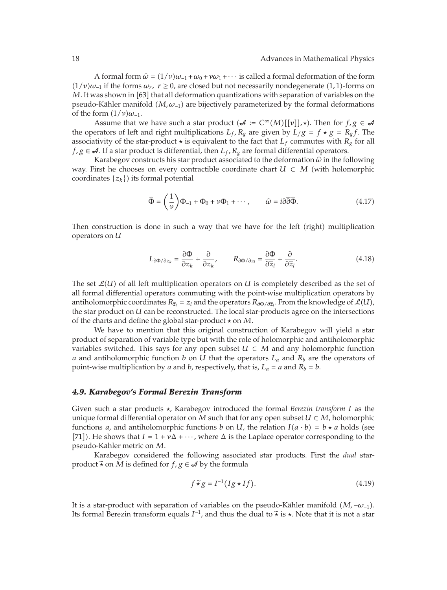A formal form  $\hat{\omega} = (1/\nu)\omega_{-1} + \omega_0 + \nu\omega_1 + \cdots$  is called a formal deformation of the form<br>1. if the forms  $\omega_{-1}$  **x** > 0, are closed but not necessarily pendeceparate (1, 1) forms on  $(1/\nu)\omega_{-1}$  if the forms  $\omega_r$ ,  $r \ge 0$ , are closed but not necessarily nondegenerate  $(1,1)$ -forms on *M*. It was shown in [63] that all deformation quantizations with separation of variables on the pseudo-Kähler manifold (*M, w*<sub>−1</sub>) are bijectively parameterized by the formal deformations of the form  $(1/\nu)\omega_{-1}$ .

Assume that we have such a star product  $({\cal A} := C^{\infty}(M)[[v]], \star)$ . Then for  $f, g \in {\cal A}$ the operators of left and right multiplications  $L_f$ ,  $R_g$  are given by  $L_f g = f * g = R_g f$ . The associativity of the star-product  $\star$  is equivalent to the fact that  $L_f$  commutes with  $R_g$  for all *f*, *g* ∈  $\mathcal{A}$ . If a star product is differential, then  $L_f$ ,  $R_g$  are formal differential operators.

Karabegov constructs his star product associated to the deformation *<sup>ω</sup>* in the following way. First he chooses on every contractible coordinate chart  $U \subset M$  (with holomorphic coordinates  $\{z_k\}$ ) its formal potential

$$
\widehat{\Phi} = \left(\frac{1}{\nu}\right) \Phi_{-1} + \Phi_0 + \nu \Phi_1 + \cdots, \qquad \widehat{\omega} = i \partial \overline{\partial} \widehat{\Phi}.
$$
 (4.17)

Then construction is done in such a way that we have for the left (right) multiplication operators on *U*

$$
L_{\partial \Phi/\partial z_k} = \frac{\partial \Phi}{\partial z_k} + \frac{\partial}{\partial z_k}, \qquad R_{\partial \Phi/\partial \overline{z}_l} = \frac{\partial \Phi}{\partial \overline{z}_l} + \frac{\partial}{\partial \overline{z}_l}.
$$
 (4.18)

The set  $\mathcal{L}(U)$  of all left multiplication operators on *U* is completely described as the set of all formal differential operators commuting with the point-wise multiplication operators by antiholomorphic coordinates  $R_{\overline{z}_l} = \overline{z}_l$  and the operators  $R_{\partial \Phi/\partial \overline{z}_l}$ . From the knowledge of  $\mathcal{L}(U)$ , the star product on *U* can be reconstructed. The local star-products agree on the intersections of the charts and define the global star-product  on *M*.

We have to mention that this original construction of Karabegov will yield a star product of separation of variable type but with the role of holomorphic and antiholomorphic variables switched. This says for any open subset  $U \subset M$  and any holomorphic function *a* and antiholomorphic function *b* on *U* that the operators  $L_a$  and  $R_b$  are the operators of point-wise multiplication by *a* and *b*, respectively, that is,  $L_a = a$  and  $R_b = b$ .

### *4.9. Karabegov's Formal Berezin Transform*

Given such a star products , Karabegov introduced the formal *Berezin transform I* as the unique formal differential operator on *M* such that for any open subset  $U \subset M$ , holomorphic functions *a*, and antiholomorphic functions *b* on *U*, the relation  $I(a \cdot b) = b \star a$  holds (see [71]). He shows that  $I = 1 + v\Delta + \cdots$ , where  $\Delta$  is the Laplace operator corresponding to the pseudo-Kähler metric on M.

Karabegov considered the following associated star products. First the *dual* starproduct  $\tilde{\star}$  on *M* is defined for *f*, *g*  $\in \mathcal{A}$  by the formula

$$
f \tilde{\star} g = I^{-1} (I g \star I f). \tag{4.19}
$$

It is a star-product with separation of variables on the pseudo-Kähler manifold  $(M, -\omega_{-1})$ . Its formal Berezin transform equals *<sup>I</sup>*<sup>−</sup>1, and thus the dual to  is . Note that it is not a star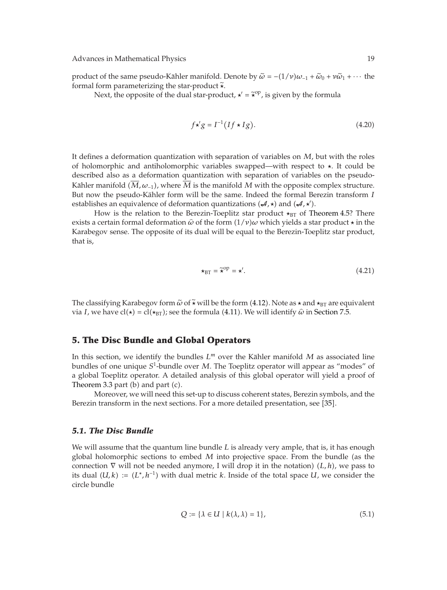product of the same pseudo-Kähler manifold. Denote by  $\tilde{\omega} = -(1/\nu)\omega_{-1} + \tilde{\omega}_0 + \nu \tilde{\omega}_1 + \cdots$  the formal form parameterizing the star product  $\tilde{\star}$ formal form parameterizing the star-product .

Next, the opposite of the dual star-product,  $\star' = \tilde{\star}^{\text{op}}$ , is given by the formula

$$
f \star' g = I^{-1} (I f \star I g). \tag{4.20}
$$

It defines a deformation quantization with separation of variables on *M*, but with the roles of holomorphic and antiholomorphic variables swapped—with respect to . It could be described also as a deformation quantization with separation of variables on the pseudo-Kähler manifold  $(M, \omega_{-1})$ , where  $M$  is the manifold  $M$  with the opposite complex structure. But now the pseudo-Kähler form will be the same. Indeed the formal Berezin transform I establishes an equivalence of deformation quantizations  $({\cal A}, \star)$  and  $({\cal A}, \star')$ .

How is the relation to the Berezin-Toeplitz star product  $\star_{\text{BT}}$  of Theorem 4.5? There exists a certain formal deformation  $\hat{\omega}$  of the form  $(1/\nu)\omega$  which yields a star product  $\star$  in the Karabegov sonse. The opposite of its dual will be equal to the Barazin Teoplitz star product. Karabegov sense. The opposite of its dual will be equal to the Berezin-Toeplitz star product, that is,

$$
\star_{\text{BT}} = \widetilde{\star}^{\text{op}} = \star'.\tag{4.21}
$$

The classifying Karabegov form  $\tilde{\omega}$  of  $\tilde{\star}$  will be the form (4.12). Note as  $\star$  and  $\star_{\text{BT}}$  are equivalent via L we have  $c$  ( $\star$ ) =  $c$  ( $\star$ <sub>pr)</sub>; see the formula (4.11). We will identify  $\hat{\omega}$  in Sectio via *I*, we have  $cl(\star) = cl(\star_{BT})$ ; see the formula (4.11). We will identify  $\hat{\omega}$  in Section 7.5.

# **5. The Disc Bundle and Global Operators**

In this section, we identify the bundles  $L^m$  over the Kähler manifold  $M$  as associated line bundles of one unique *S*1-bundle over *M*. The Toeplitz operator will appear as "modes" of a global Toeplitz operator. A detailed analysis of this global operator will yield a proof of Theorem  $3.3$  part (b) and part (c).

Moreover, we will need this set-up to discuss coherent states, Berezin symbols, and the Berezin transform in the next sections. For a more detailed presentation, see [35].

## *5.1. The Disc Bundle*

We will assume that the quantum line bundle *L* is already very ample, that is, it has enough global holomorphic sections to embed  $M$  into projective space. From the bundle (as the connection  $\nabla$  will not be needed anymore, I will drop it in the notation)  $(L, h)$ , we pass to its dual  $(U, k) := (L^*, h^{-1})$  with dual metric *k*. Inside of the total space *U*, we consider the circle bundle

$$
Q := \{ \lambda \in U \mid k(\lambda, \lambda) = 1 \},\tag{5.1}
$$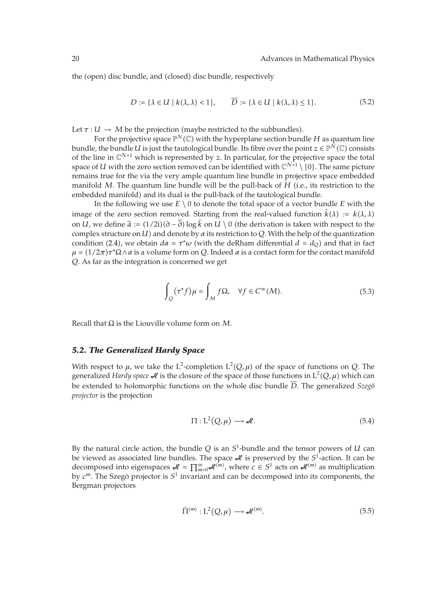the (open) disc bundle, and (closed) disc bundle, respectively

$$
D := \{ \lambda \in U \mid k(\lambda, \lambda) < 1 \}, \qquad D := \{ \lambda \in U \mid k(\lambda, \lambda) \le 1 \}. \tag{5.2}
$$

Let  $\tau : U \to M$  be the projection (maybe restricted to the subbundles).

For the projective space  $\mathbb{P}^N(\mathbb{C})$  with the hyperplane section bundle H as quantum line bundle, the bundle  $U$  is just the tautological bundle. Its fibre over the point  $z\in\mathbb P^{\tilde N}(\mathbb C)$  consists of the line in  $\mathbb{C}^{N+1}$  which is represented by *z*. In particular, for the projective space the total space of *U* with the zero section removed can be identified with  $\mathbb{C}^{N+1} \setminus \{0\}$ . The same picture remains true for the via the very ample quantum line bundle in projective space embedded manifold M. The quantum line bundle will be the pull-back of H (i.e., its restriction to the embedded manifold) and its dual is the pull-back of the tautological bundle.

In the following we use  $E \setminus 0$  to denote the total space of a vector bundle *E* with the image of the zero section removed. Starting from the real-valued function  $k(\lambda) := k(\lambda, \lambda)$ on *U*, we define  $\tilde{a} := (1/2i)(\partial - \partial) \log k$  on *U*  $\setminus$  0 (the derivation is taken with respect to the complex structure on *U*) and denote by *g* its restriction to *Q* With the help of the quantization complex structure on *U*) and denote by  $\alpha$  its restriction to *Q*. With the help of the quantization condition (2.4), we obtain  $d\alpha = \tau^* \omega$  (with the deRham differential  $d = d_Q$ ) and that in fact *μ* =  $(1/2\pi)\tau^*\Omega \wedge \alpha$  is a volume form on *Q*. Indeed *α* is a contact form for the contact manifold *Q*. As far as the integration is concerned we get

$$
\int_{Q} (\tau^* f) \mu = \int_{M} f \Omega, \quad \forall f \in C^{\infty}(M).
$$
\n(5.3)

Recall that Ω is the Liouville volume form on *M*.

### *5.2. The Generalized Hardy Space*

With respect to  $\mu$ , we take the L<sup>2</sup>-completion  $L^2(Q, \mu)$  of the space of functions on *Q*. The generalized *Hardy space J*e is the closure of the space of those functions in L<sup>2</sup>(Q, μ) which can be extended to holomorphic functions on the whole disc bundle  $\overline{D}$ . The generalized *Szego*<sup>\*</sup> *projector* is the projection

$$
\Pi: L^2(Q, \mu) \longrightarrow \mathcal{A}.
$$
\n(5.4)

By the natural circle action, the bundle *Q* is an *S*1-bundle and the tensor powers of *U* can be viewed as associated line bundles. The space  $\mathcal A$  is preserved by the  $S^1$ -action. It can be decomposed into eigenspaces  $\mathcal{A} = \prod_{m=0}^{\infty} \mathcal{A}^{(m)}$ , where  $c \in S^1$  acts on  $\mathcal{A}^{(m)}$  as multiplication by  $c^m$ . The Szegö projector is  $S^1$  invariant and can be decomposed into its components, the Bergman projectors

$$
\widehat{\Pi}^{(m)}: L^2(Q,\mu) \longrightarrow \mathcal{A}^{(m)}.
$$
\n(5.5)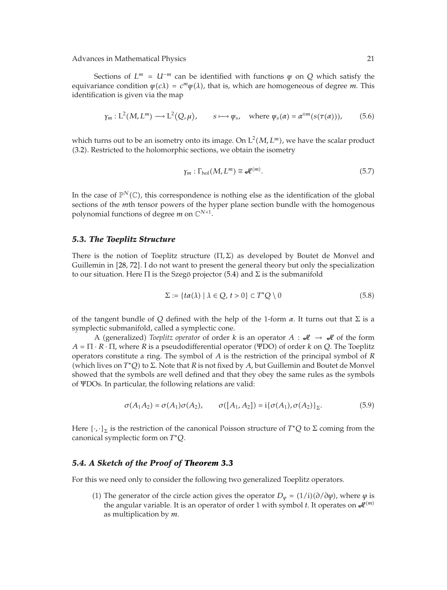Advances in Mathematical Physics 21 and 22 and 22 and 22 and 22 and 22 and 22 and 22 and 22 and 22 and 22 and 22 and 22 and 22 and 22 and 22 and 22 and 22 and 22 and 22 and 22 and 22 and 22 and 22 and 22 and 22 and 22 and

Sections of  $L^m = U^{-m}$  can be identified with functions  $\psi$  on  $Q$  which satisfy the equivariance condition  $\psi(c\lambda) = c^m \psi(\lambda)$ , that is, which are homogeneous of degree *m*. This identification is given via the map

$$
\gamma_m : L^2(M, L^m) \longrightarrow L^2(Q, \mu), \qquad s \longmapsto \psi_s, \quad \text{where } \psi_s(\alpha) = \alpha^{\otimes m}(s(\tau(\alpha))), \tag{5.6}
$$

which turns out to be an isometry onto its image. On  $L^2(M, L^m)$ , we have the scalar product -3.2. Restricted to the holomorphic sections, we obtain the isometry

$$
\gamma_m : \Gamma_{hol}(M, L^m) \cong \mathcal{A}^{(m)}.
$$
\n(5.7)

In the case of  $\mathbb{P}^N(\mathbb{C})$ , this correspondence is nothing else as the identification of the global sections of the *m*th tensor powers of the hyper plane section bundle with the homogenous polynomial functions of degree *m* on  $\mathbb{C}^{N+1}$ .

### *5.3. The Toeplitz Structure*

There is the notion of Toeplitz structure  $(\Pi, \Sigma)$  as developed by Boutet de Monvel and Guillemin in 28, 72. I do not want to present the general theory but only the specialization to our situation. Here  $\Pi$  is the Szegö projector (5.4) and  $\Sigma$  is the submanifold

$$
\Sigma := \{ t\alpha(\lambda) \mid \lambda \in Q, t > 0 \} \subset T^*Q \setminus 0 \tag{5.8}
$$

of the tangent bundle of *Q* defined with the help of the 1-form  $\alpha$ . It turns out that  $\Sigma$  is a symplectic submanifold, called a symplectic cone.

A (generalized) *Toeplitz operator* of order *k* is an operator  $A : H \rightarrow H$  of the form  $A = \Pi \cdot R \cdot \Pi$ , where *R* is a pseudodifferential operator (ΨDO) of order *k* on *Q*. The Toeplitz operators constitute a ring. The symbol of *A* is the restriction of the principal symbol of *R* (which lives on *T*<sup>\*</sup>*Q*) to Σ. Note that *R* is not fixed by *A*, but Guillemin and Boutet de Monvel showed that the symbols are well defined and that they obey the same rules as the symbols of ΨDOs. In particular, the following relations are valid:

$$
\sigma(A_1 A_2) = \sigma(A_1) \sigma(A_2), \qquad \sigma([A_1, A_2]) = i \{ \sigma(A_1), \sigma(A_2) \}_{\Sigma}.
$$
 (5.9)

Here  $\{\cdot,\cdot\}_\Sigma$  is the restriction of the canonical Poisson structure of  $T^*Q$  to  $\Sigma$  coming from the canonical symplectic form on *T*<sup>∗</sup>*Q*.

# *5.4. A Sketch of the Proof of Theorem 3.3*

For this we need only to consider the following two generalized Toeplitz operators.

(1) The generator of the circle action gives the operator *D*<sub>*ψ*</sub> = (1/i)( $\partial$ / $\partial$ *φ*), where *φ* is the angular variable. It is an operator of order 1 with symbol *t*. It operates on  $\mathcal{A}^{(m)}$ as multiplication by *m*.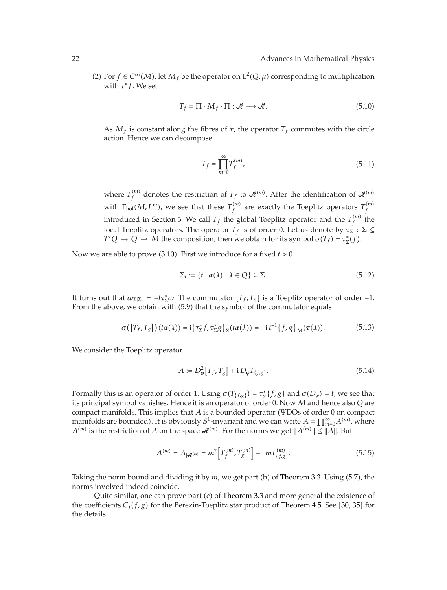(2) For *f* ∈ *C*<sup>∞</sup>(*M*), let *M<sub>f</sub>* be the operator on L<sup>2</sup>(*Q*, *μ*) corresponding to multiplication with  $τ$ <sup>\*</sup> *f*. We set

$$
T_f = \Pi \cdot M_f \cdot \Pi : \mathcal{H} \longrightarrow \mathcal{H}.
$$
 (5.10)

As  $M_f$  is constant along the fibres of  $\tau$ , the operator  $T_f$  commutes with the circle action. Hence we can decompose

$$
T_f = \prod_{m=0}^{\infty} T_f^{(m)},
$$
\n(5.11)

where  $T_f^{(m)}$  denotes the restriction of  $T_f$  to  $\mathcal{A}^{(m)}$ . After the identification of  $\mathcal{A}^{(m)}$ with  $\Gamma_{\text{hol}}(M,L^m)$ , we see that these  $T_f^{(m)}$  are exactly the Toeplitz operators  $T_f^{(m)}$ *f* introduced in Section 3. We call  $T_f$  the global Toeplitz operator and the  $T_f^{(m)}$  the local Toeplitz operators. The operator *T<sub>f</sub>* is of order 0. Let us denote by  $τ_{\Sigma}$  :  $\Sigma \subseteq$ *T*\**Q*  $\rightarrow$  *Q*  $\rightarrow$  *M* the composition, then we obtain for its symbol  $\sigma(T_f) = \tau_{\Sigma}^*(f)$ .

Now we are able to prove (3.10). First we introduce for a fixed *t >* 0

$$
\Sigma_t := \{ t \cdot \alpha(\lambda) \mid \lambda \in Q \} \subseteq \Sigma. \tag{5.12}
$$

It turns out that  $\omega_{\Sigma|\Sigma_t} = -t\tau_{\Sigma}^*\omega$ . The commutator  $[T_f, T_g]$  is a Toeplitz operator of order -1. From the above, we obtain with (5.9) that the symbol of the commutator equals

$$
\sigma([T_f, T_g])(t\alpha(\lambda)) = \mathrm{i}\big\{\tau_{\Sigma}^* f, \tau_{\Sigma}^* g\big\}_{\Sigma}(t\alpha(\lambda)) = -\mathrm{i}\,t^{-1}\big\{f, g\big\}_{M}(\tau(\lambda)).\tag{5.13}
$$

We consider the Toeplitz operator

$$
A := D_{\varphi}^{2} [T_{f}, T_{g}] + i D_{\varphi} T_{\{f, g\}}.
$$
\n(5.14)

Formally this is an operator of order 1. Using  $\sigma(T_{f,g}) = \tau_{\Sigma}^*(f,g)$  and  $\sigma(D_\varphi) = t$ , we see that its principal symbol vanishes. Hence it is an operator of order 0. Now *M* and hence also *Q* are compact manifolds. This implies that *A* is a bounded operator (ΨDOs of order 0 on compact manifolds are bounded). It is obviously  $S^1$ -invariant and we can write  $A = \prod_{m=0}^{\infty} A^{(m)}$ , where  $A^{(m)}$  is the restriction of *A* on the space  $\mathcal{A}^{(m)}$ . For the norms we get  $||A^{(m)}|| \le ||A||$ . But

$$
A^{(m)} = A_{|\mathcal{A}^{(m)}} = m^2 \left[ T_f^{(m)}, T_g^{(m)} \right] + \mathrm{i} \, m T_{\{f,g\}}^{(m)}.\tag{5.15}
$$

Taking the norm bound and dividing it by m, we get part (b) of Theorem 3.3. Using (5.7), the norms involved indeed coincide.

Quite similar, one can prove part (c) of Theorem 3.3 and more general the existence of the coefficients  $C_j(f, g)$  for the Berezin-Toeplitz star product of Theorem 4.5. See [30, 35] for the details.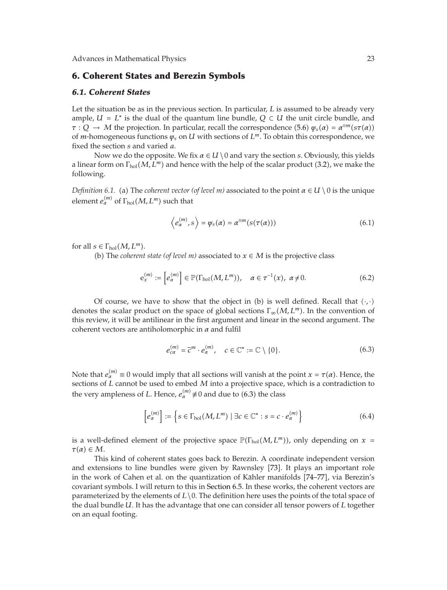## **6. Coherent States and Berezin Symbols**

### *6.1. Coherent States*

Let the situation be as in the previous section. In particular, *L* is assumed to be already very ample,  $U = L^*$  is the dual of the quantum line bundle,  $Q \subset U$  the unit circle bundle, and *τ* : *Q*  $\rightarrow$  *M* the projection. In particular, recall the correspondence (5.6)  $\psi_s(\alpha) = \alpha^{\otimes m}(s\tau(\alpha))$ of *m*-homogeneous functions *ψs* on *U* with sections of *L<sup>m</sup>*. To obtain this correspondence, we fixed the section *s* and varied *a*.

Now we do the opposite. We fix  $\alpha \in U \setminus 0$  and vary the section *s*. Obviously, this yields a linear form on  $\Gamma_{hol}(M,L^m)$  and hence with the help of the scalar product (3.2), we make the following.

*Definition 6.1.* (a) The *coherent vector (of level m)* associated to the point  $\alpha \in U \setminus 0$  is the unique element  $e_\alpha^{(m)}$  of  $\Gamma_{\rm hol}(M,L^m)$  such that

$$
\left\langle e_{\alpha}^{(m)}, s \right\rangle = \psi_s(\alpha) = \alpha^{\otimes m} (s(\tau(\alpha))) \tag{6.1}
$$

for all  $s \in \Gamma_{hol}(M, L^m)$ .

(b) The *coherent state* (*of level m*) associated to  $x \in M$  is the projective class

$$
\mathbf{e}_x^{(m)} := \left[e_\alpha^{(m)}\right] \in \mathbb{P}(\Gamma_{\text{hol}}(M, L^m)), \quad \alpha \in \tau^{-1}(x), \ \alpha \neq 0. \tag{6.2}
$$

Of course, we have to show that the object in (b) is well defined. Recall that  $\langle \cdot, \cdot \rangle$ denotes the scalar product on the space of global sections Γ<sub>∞</sub>(*M*, *L*<sup>*m*</sup>). In the convention of this review, it will be antilinear in the first argument and linear in the second argument. The coherent vectors are antiholomorphic in *α* and fulfil

$$
e_{c\alpha}^{(m)} = \overline{c}^m \cdot e_{\alpha}^{(m)}, \quad c \in \mathbb{C}^* := \mathbb{C} \setminus \{0\}.
$$

Note that  $e_{\alpha}^{(m)} \equiv 0$  would imply that all sections will vanish at the point  $x = \tau(\alpha)$ . Hence, the sections of *L* cannot be used to embed *M* into a projective space, which is a contradiction to the very ampleness of *L*. Hence,  $e_{\alpha}^{(m)} \neq 0$  and due to (6.3) the class

$$
\[e_{\alpha}^{(m)}\] := \left\{ s \in \Gamma_{\text{hol}}(M, L^m) \mid \exists c \in \mathbb{C}^* : s = c \cdot e_{\alpha}^{(m)} \right\} \tag{6.4}
$$

is a well-defined element of the projective space  $\mathbb{P}(\Gamma_{hol}(M, L^m))$ , only depending on  $x =$  $\tau(\alpha) \in M$ .

This kind of coherent states goes back to Berezin. A coordinate independent version and extensions to line bundles were given by Rawnsley 73. It plays an important role in the work of Cahen et al. on the quantization of Kähler manifolds [74–77], via Berezin's covariant symbols. I will return to this in Section 6.5. In these works, the coherent vectors are parameterized by the elements of  $L \setminus 0$ . The definition here uses the points of the total space of the dual bundle *U*. It has the advantage that one can consider all tensor powers of *L* together on an equal footing.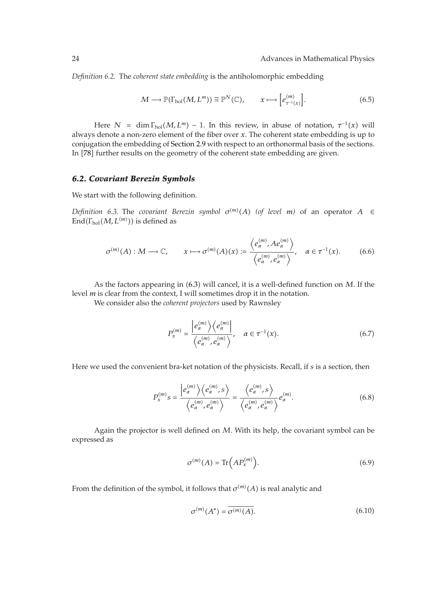*Definition 6.2.* The *coherent state embedding* is the antiholomorphic embedding

$$
M \longrightarrow \mathbb{P}(\Gamma_{\text{hol}}(M, L^m)) \cong \mathbb{P}^N(\mathbb{C}), \qquad x \longmapsto \left[e_{\tau^{-1}(x)}^{(m)}\right]. \tag{6.5}
$$

Here  $N = \dim \Gamma_{hol}(M, L^m) - 1$ . In this review, in abuse of notation,  $\tau^{-1}(x)$  will always denote a non-zero element of the fiber over *x*. The coherent state embedding is up to conjugation the embedding of Section 2.9 with respect to an orthonormal basis of the sections. In [78] further results on the geometry of the coherent state embedding are given.

### *6.2. Covariant Berezin Symbols*

We start with the following definition.

*Definition* 6.3. The *covariant Berezin symbol*  $\sigma^{(m)}(A)$  (of level *m*) of an operator  $A \in$  $\text{End}(\Gamma_{\text{hol}}(M,L^{(m)}))$  is defined as

$$
\sigma^{(m)}(A): M \longrightarrow \mathbb{C}, \qquad x \longmapsto \sigma^{(m)}(A)(x) := \frac{\left\langle e_{\alpha}^{(m)}, A e_{\alpha}^{(m)} \right\rangle}{\left\langle e_{\alpha}^{(m)}, e_{\alpha}^{(m)} \right\rangle}, \quad \alpha \in \tau^{-1}(x). \tag{6.6}
$$

As the factors appearing in (6.3) will cancel, it is a well-defined function on *M*. If the level *m* is clear from the context, I will sometimes drop it in the notation.

We consider also the *coherent projectors* used by Rawnsley

$$
P_x^{(m)} = \frac{\left| e_\alpha^{(m)} \right\rangle \left\langle e_\alpha^{(m)} \right|}{\left\langle e_\alpha^{(m)}, e_\alpha^{(m)} \right\rangle}, \quad \alpha \in \tau^{-1}(x). \tag{6.7}
$$

Here we used the convenient bra-ket notation of the physicists. Recall, if *s* is a section, then

$$
P_x^{(m)}s = \frac{\left|e_\alpha^{(m)}\right\rangle\left\langle e_\alpha^{(m)},s\right\rangle}{\left\langle e_\alpha^{(m)},e_\alpha^{(m)}\right\rangle} = \frac{\left\langle e_\alpha^{(m)},s\right\rangle}{\left\langle e_\alpha^{(m)},e_\alpha^{(m)}\right\rangle}e_\alpha^{(m)}.
$$
\n(6.8)

Again the projector is well defined on *M*. With its help, the covariant symbol can be expressed as

$$
\sigma^{(m)}(A) = \text{Tr}\left(A P_x^{(m)}\right). \tag{6.9}
$$

From the definition of the symbol, it follows that  $\sigma^{(m)}(A)$  is real analytic and

$$
\sigma^{(m)}(A^*) = \overline{\sigma^{(m)}(A)}.
$$
\n(6.10)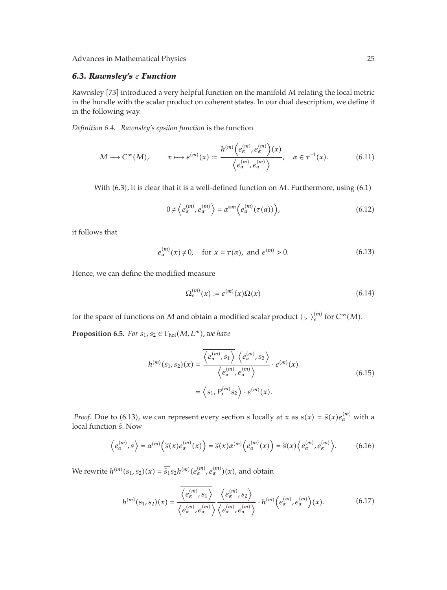# *6.3. Rawnsley's Function*

Rawnsley [73] introduced a very helpful function on the manifold *M* relating the local metric in the bundle with the scalar product on coherent states. In our dual description, we define it in the following way.

*Definition 6.4. Rawnsley's epsilon function* is the function

$$
M \longrightarrow C^{\infty}(M), \qquad x \longmapsto e^{(m)}(x) := \frac{h^{(m)}(e_{\alpha}^{(m)}, e_{\alpha}^{(m)})(x)}{\langle e_{\alpha}^{(m)}, e_{\alpha}^{(m)} \rangle}, \quad \alpha \in \tau^{-1}(x). \tag{6.11}
$$

With (6.3), it is clear that it is a well-defined function on *M*. Furthermore, using (6.1)

$$
0 \neq \left\langle e_{\alpha}^{(m)}, e_{\alpha}^{(m)} \right\rangle = \alpha^{\otimes m} \left( e_{\alpha}^{(m)}(\tau(\alpha)) \right), \tag{6.12}
$$

it follows that

$$
e_{\alpha}^{(m)}(x) \neq 0
$$
, for  $x = \tau(\alpha)$ , and  $e^{(m)} > 0$ . (6.13)

Hence, we can define the modified measure

$$
\Omega_{\epsilon}^{(m)}(x) := \epsilon^{(m)}(x)\Omega(x) \tag{6.14}
$$

for the space of functions on  $M$  and obtain a modified scalar product  $\langle \cdot, \cdot \rangle_{\epsilon}^{(m)}$  for  $C^{\infty}(M)$ .

**Proposition 6.5.** *For*  $s_1$ ,  $s_2 \in \Gamma_{\text{hol}}(M, L^m)$ , we have

$$
h^{(m)}(s_1, s_2)(x) = \frac{\overline{\langle e_\alpha^{(m)}, s_1 \rangle} \langle e_\alpha^{(m)}, s_2 \rangle}{\langle e_\alpha^{(m)}, e_\alpha^{(m)} \rangle} \cdot \epsilon^{(m)}(x)
$$

$$
= \langle s_1, P_x^{(m)} s_2 \rangle \cdot \epsilon^{(m)}(x).
$$
(6.15)

*Proof.* Due to (6.13), we can represent every section *s* locally at *x* as  $s(x) = \hat{s}(x)e_{\alpha}^{(m)}$  with a scal function  $\hat{s}$ . Now local function *<sup>s</sup>*. Now

$$
\left\langle e_{\alpha}^{(m)}, s \right\rangle = \alpha^{(m)} \left( \widehat{s}(x) e_{\alpha}^{(m)}(x) \right) = \widehat{s}(x) \alpha^{(m)} \left( e_{\alpha}^{(m)}(x) \right) = \widehat{s}(x) \left\langle e_{\alpha}^{(m)}, e_{\alpha}^{(m)} \right\rangle. \tag{6.16}
$$

 $W$ e rewrite  $h^{(m)}(s_1, s_2)(x) = \frac{\widehat{s_1}}{s_2}h^{(m)}(e_\alpha^{(m)}, e_\alpha^{(m)})(x)$ , and obtain

$$
h^{(m)}(s_1, s_2)(x) = \frac{\overline{\langle e^{(m)}_{\alpha}, s_1 \rangle}}{\langle e^{(m)}_{\alpha}, e^{(m)}_{\alpha} \rangle} \frac{\langle e^{(m)}_{\alpha}, s_2 \rangle}{\langle e^{(m)}_{\alpha}, e^{(m)}_{\alpha} \rangle} \cdot h^{(m)}(e^{(m)}_{\alpha}, e^{(m)}_{\alpha})(x).
$$
 (6.17)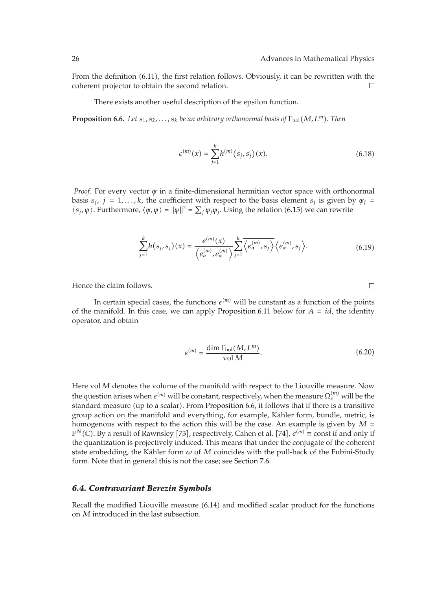From the definition (6.11), the first relation follows. Obviously, it can be rewritten with the coherent projector to obtain the second relation.  $\Box$ 

There exists another useful description of the epsilon function.

**Proposition 6.6.** *Let*  $s_1, s_2, \ldots, s_k$  *be an arbitrary orthonormal basis of*  $\Gamma_{hol}(M, L^m)$ *. Then* 

$$
e^{(m)}(x) = \sum_{j=1}^{k} h^{(m)}(s_j, s_j)(x).
$$
 (6.18)

*Proof.* For every vector *ψ* in a finite-dimensional hermitian vector space with orthonormal basis  $s_i$ ,  $j = 1, \ldots, k$ , the coefficient with respect to the basis element  $s_j$  is given by  $\psi_j =$  $\langle s_j, \psi \rangle$ . Furthermore,  $\langle \psi, \psi \rangle = ||\psi||^2 = \sum_j \overline{\psi_j} \psi_j$ . Using the relation (6.15) we can rewrite

$$
\sum_{j=1}^{k} h(s_j, s_j)(x) = \frac{\epsilon^{(m)}(x)}{\left\langle e_\alpha^{(m)}, e_\alpha^{(m)} \right\rangle} \sum_{j=1}^{k} \overline{\left\langle e_\alpha^{(m)}, s_j \right\rangle} \left\langle e_\alpha^{(m)}, s_j \right\rangle. \tag{6.19}
$$

Hence the claim follows.

In certain special cases, the functions  $\epsilon^{(m)}$  will be constant as a function of the points of the manifold. In this case, we can apply Proposition 6.11 below for  $A = id$ , the identity operator, and obtain

$$
\epsilon^{(m)} = \frac{\dim \Gamma_{\text{hol}}(M, L^m)}{\text{vol } M}.\tag{6.20}
$$

Here vol*M* denotes the volume of the manifold with respect to the Liouville measure. Now the question arises when  $e^{(m)}$  will be constant, respectively, when the measure  $\Omega_e^{(m)}$  will be the standard measure (up to a scalar). From Proposition 6.6, it follows that if there is a transitive group action on the manifold and everything, for example, Kähler form, bundle, metric, is homogenous with respect to the action this will be the case. An example is given by *M P<sup>N</sup>*(**C**). By a result of Rawnsley [73], respectively, Cahen et al. [74],  $e^{(m)}$  ≡ const if and only if the quantization is projectively induced. This means that under the conjugate of the coherent state embedding, the Kähler form  $\omega$  of  $M$  coincides with the pull-back of the Fubini-Study form. Note that in general this is not the case; see Section 7.6.

#### *6.4. Contravariant Berezin Symbols*

Recall the modified Liouville measure (6.14) and modified scalar product for the functions on *M* introduced in the last subsection.

 $\Box$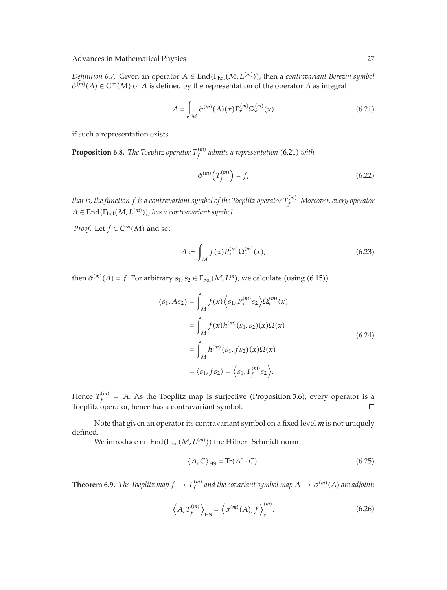*Definition 6.7.* Given an operator  $A \in End(\Gamma_{hol}(M, L^{(m)}))$ , then a *contravariant Berezin symbol*  $\check{\sigma}^{(m)}(A) \in C^{\infty}(M)$  of *A* is defined by the representation of the operator *A* as integral

$$
A = \int_{M} \check{\sigma}^{(m)}(A)(x) P_{x}^{(m)} \Omega_{\epsilon}^{(m)}(x)
$$
 (6.21)

if such a representation exists.

**Proposition 6.8.** *The Toeplitz operator*  $T_f^{(m)}$  *admits a representation* (6.21) *with* 

$$
\check{\sigma}^{(m)}\left(T_f^{(m)}\right) = f,\tag{6.22}
$$

*that is, the function f is a contravariant symbol of the Toeplitz operator T*-*m <sup>f</sup> . Moreover, every operator*  $A \in \text{End}(\Gamma_{\text{hol}}(M, L^{(m)}))$ , has a contravariant symbol.

*Proof.* Let  $f \in C^{\infty}(M)$  and set

$$
A := \int_{M} f(x) P_{x}^{(m)} \Omega_{e}^{(m)}(x), \tag{6.23}
$$

then  $\check{\sigma}^{(m)}(A) = f$ . For arbitrary  $s_1, s_2 \in \Gamma_{hol}(M, L^m)$ , we calculate (using (6.15))

$$
\langle s_1, As_2 \rangle = \int_M f(x) \langle s_1, P_x^{(m)} s_2 \rangle \Omega_e^{(m)}(x)
$$
  
= 
$$
\int_M f(x) h^{(m)}(s_1, s_2)(x) \Omega(x)
$$
  
= 
$$
\int_M h^{(m)}(s_1, fs_2)(x) \Omega(x)
$$
  
= 
$$
\langle s_1, fs_2 \rangle = \langle s_1, T_f^{(m)} s_2 \rangle.
$$
 (6.24)

Hence  $T_f^{(m)}$  = A. As the Toeplitz map is surjective (Proposition 3.6), every operator is a Toeplitz operator, hence has a contravariant symbol.  $\Box$ 

Note that given an operator its contravariant symbol on a fixed level *m* is not uniquely defined.

We introduce on  $\mathrm{End}(\Gamma_{\mathrm{hol}}(M,L^{(m)}))$  the Hilbert-Schmidt norm

$$
\langle A, C \rangle_{\text{HS}} = \text{Tr}(A^* \cdot C). \tag{6.25}
$$

**Theorem 6.9.** *The Toeplitz map*  $f \to T_f^{(m)}$  *and the covariant symbol map*  $A \to \sigma^{(m)}(A)$  *are adjoint:* 

$$
\left\langle A, T_f^{(m)} \right\rangle_{\text{HS}} = \left\langle \sigma^{(m)}(A), f \right\rangle_{\epsilon}^{(m)}.
$$
 (6.26)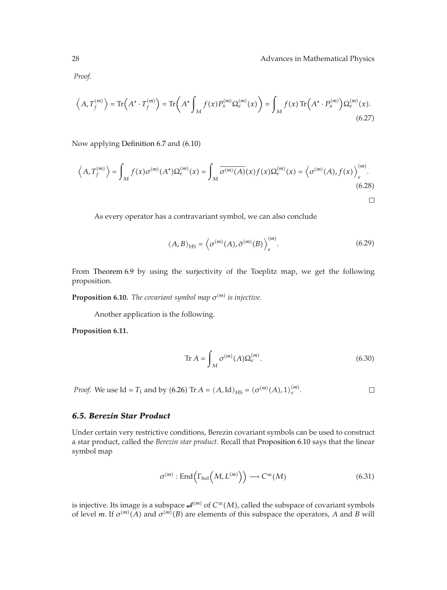$\Box$ 

*Proof.*

$$
\left\langle A, T_f^{(m)} \right\rangle = \text{Tr}\left(A^* \cdot T_f^{(m)}\right) = \text{Tr}\left(A^* \int_M f(x) P_x^{(m)} \Omega_e^{(m)}(x)\right) = \int_M f(x) \text{Tr}\left(A^* \cdot P_x^{(m)}\right) \Omega_e^{(m)}(x). \tag{6.27}
$$

Now applying Definition 6.7 and (6.10)

$$
\left\langle A, T_f^{(m)} \right\rangle = \int_M f(x) \sigma^{(m)}(A^*) \Omega_{\epsilon}^{(m)}(x) = \int_M \overline{\sigma^{(m)}(A)}(x) f(x) \Omega_{\epsilon}^{(m)}(x) = \left\langle \sigma^{(m)}(A), f(x) \right\rangle_{\epsilon}^{(m)}.
$$
\n(6.28)

As every operator has a contravariant symbol, we can also conclude

$$
\langle A, B \rangle_{\text{HS}} = \left\langle \sigma^{(m)}(A), \check{\sigma}^{(m)}(B) \right\rangle_{\epsilon}^{(m)}.
$$
 (6.29)

From Theorem 6.9 by using the surjectivity of the Toeplitz map, we get the following proposition.

**Proposition 6.10.** *The covariant symbol map*  $\sigma^{(m)}$  *is injective.* 

Another application is the following.

**Proposition 6.11.**

$$
\operatorname{Tr} A = \int_M \sigma^{(m)}(A) \Omega_{\epsilon}^{(m)}.
$$
\n(6.30)

*Proof.* We use Id =  $T_1$  and by (6.26) Tr  $A = \langle A, \text{Id} \rangle_{\text{HS}} = \langle \sigma^{(m)}(A), 1 \rangle_{\epsilon}^{(m)}$ .  $\Box$ 

# *6.5. Berezin Star Product*

Under certain very restrictive conditions, Berezin covariant symbols can be used to construct a star product, called the *Berezin star product*. Recall that Proposition 6.10 says that the linear symbol map

$$
\sigma^{(m)} : \text{End}\left(\Gamma_{\text{hol}}\left(M, L^{(m)}\right)\right) \longrightarrow C^{\infty}(M) \tag{6.31}
$$

is injective. Its image is a subspace  $\mathcal{A}^{(m)}$  of  $C^\infty(M)$ , called the subspace of covariant symbols of level *m*. If  $\sigma^{(m)}(A)$  and  $\sigma^{(m)}(B)$  are elements of this subspace the operators, *A* and *B* will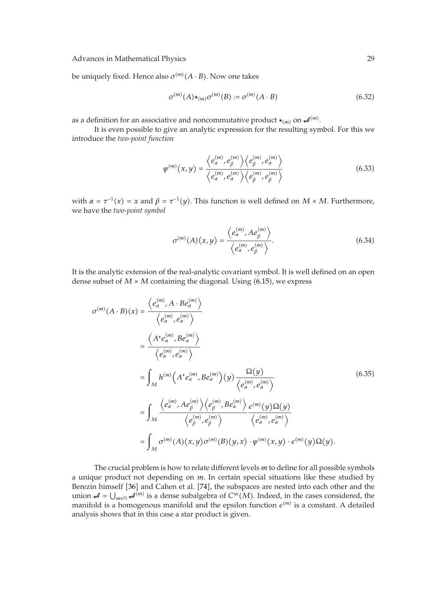be uniquely fixed. Hence also  $\sigma^{(m)}(A \cdot B)$ . Now one takes

$$
\sigma^{(m)}(A) \star_{(m)} \sigma^{(m)}(B) := \sigma^{(m)}(A \cdot B) \tag{6.32}
$$

as a definition for an associative and noncommutative product  $\star_{(m)}$  on  $\mathcal{A}^{(m)}$ .

It is even possible to give an analytic expression for the resulting symbol. For this we introduce the *two-point function*

$$
\psi^{(m)}(x,y) = \frac{\left\langle e_\alpha^{(m)}, e_\beta^{(m)} \right\rangle \left\langle e_\beta^{(m)}, e_\alpha^{(m)} \right\rangle}{\left\langle e_\alpha^{(m)}, e_\alpha^{(m)} \right\rangle \left\langle e_\beta^{(m)}, e_\beta^{(m)} \right\rangle} \tag{6.33}
$$

with  $\alpha = \tau^{-1}(x) = x$  and  $\beta = \tau^{-1}(y)$ . This function is well defined on  $M \times M$ . Furthermore, we have the *two-point symbol*

$$
\sigma^{(m)}(A)(x,y) = \frac{\langle e_{\alpha}^{(m)}, A e_{\beta}^{(m)} \rangle}{\langle e_{\alpha}^{(m)}, e_{\beta}^{(m)} \rangle}.
$$
\n(6.34)

It is the analytic extension of the real-analytic covariant symbol. It is well defined on an open dense subset of  $M \times M$  containing the diagonal. Using  $(6.15)$ , we express

$$
\sigma^{(m)}(A \cdot B)(x) = \frac{\langle e_{\alpha}^{(m)}, A \cdot Be_{\alpha}^{(m)} \rangle}{\langle e_{\alpha}^{(m)}, e_{\alpha}^{(m)} \rangle}
$$
  
\n
$$
= \frac{\langle A^* e_{\alpha}^{(m)}, B e_{\alpha}^{(m)} \rangle}{\langle e_{\alpha}^{(m)}, e_{\alpha}^{(m)} \rangle}
$$
  
\n
$$
= \int_M h^{(m)}(A^* e_{\alpha}^{(m)}, B e_{\alpha}^{(m)})(y) \frac{\Omega(y)}{\langle e_{\alpha}^{(m)}, e_{\alpha}^{(m)} \rangle}
$$
  
\n
$$
= \int_M \frac{\langle e_{\alpha}^{(m)}, A e_{\beta}^{(m)} \rangle \langle e_{\beta}^{(m)}, B e_{\alpha}^{(m)} \rangle}{\langle e_{\beta}^{(m)}, e_{\beta}^{(m)} \rangle} \frac{\varepsilon^{(m)}(y) \Omega(y)}{\langle e_{\alpha}^{(m)}, e_{\alpha}^{(m)} \rangle}
$$
  
\n
$$
= \int_M \sigma^{(m)}(A)(x, y) \sigma^{(m)}(B)(y, x) \cdot \psi^{(m)}(x, y) \cdot \varepsilon^{(m)}(y) \Omega(y).
$$
 (4.10)

The crucial problem is how to relate different levels *m* to define for all possible symbols a unique product not depending on *m*. In certain special situations like these studied by Berezin himself [36] and Cahen et al. [74], the subspaces are nested into each other and the union  $A = \bigcup_{m \in \mathbb{N}} A^{(m)}$  is a dense subalgebra of  $C^{\infty}(M)$ . Indeed, in the cases considered, the manifold is a homogenous manifold and the epsilon function  $e^{(m)}$  is a constant. A detailed analysis shows that in this case a star product is given.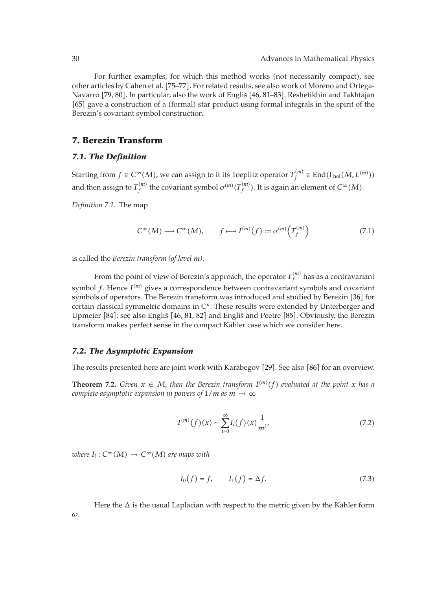For further examples, for which this method works (not necessarily compact), see other articles by Cahen et al. 75–77. For related results, see also work of Moreno and Ortega-Navarro [79, 80]. In particular, also the work of Engliš [46, 81–83]. Reshetikhin and Takhtajan [65] gave a construction of a (formal) star product using formal integrals in the spirit of the Berezin's covariant symbol construction.

# **7. Berezin Transform**

### *7.1. The Definition*

Starting from  $f \in C^{\infty}(M)$ , we can assign to it its Toeplitz operator  $T^{(m)}_f \in \text{End}(\Gamma_{\text{hol}}(M,L^{(m)}))$ and then assign to  $T_f^{(m)}$  the covariant symbol  $\sigma^{(m)}(T_f^{(m)})$ . It is again an element of  $C^\infty(M)$ .

*Definition 7.1.* The map

$$
C^{\infty}(M) \longrightarrow C^{\infty}(M), \qquad f \longmapsto I^{(m)}(f) := \sigma^{(m)}\left(T_f^{(m)}\right) \tag{7.1}
$$

is called the *Berezin transform (of level m)*.

From the point of view of Berezin's approach, the operator  $T_f^{(m)}$  has as a contravariant symbol f. Hence  $I^{(m)}$  gives a correspondence between contravariant symbols and covariant symbols of operators. The Berezin transform was introduced and studied by Berezin [36] for certain classical symmetric domains in C*n*. These results were extended by Unterberger and Upmeier [84]; see also Engliš [46, 81, 82] and Engliš and Peetre [85]. Obviously, the Berezin transform makes perfect sense in the compact Kahler case which we consider here. ¨

#### *7.2. The Asymptotic Expansion*

The results presented here are joint work with Karabegov [29]. See also [86] for an overview.

**Theorem 7.2.** *Given*  $x \in M$ , then the Berezin transform  $I^{(m)}(f)$  evaluated at the point x has a *complete asymptotic expansion in powers of*  $1/m$  *as*  $m \rightarrow \infty$ 

$$
I^{(m)}(f)(x) \sim \sum_{i=0}^{\infty} I_i(f)(x) \frac{1}{m^i},
$$
\n(7.2)

 $$ 

$$
I_0(f) = f, \qquad I_1(f) = \Delta f. \tag{7.3}
$$

Here the  $\Delta$  is the usual Laplacian with respect to the metric given by the Kähler form *ω*.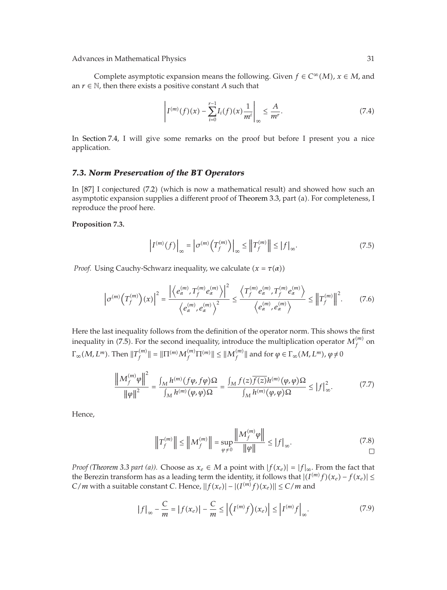Advances in Mathematical Physics 31 and 31 and 32 and 32 and 32 and 32 and 32 and 32 and 32 and 32 and 32 and 32 and 32 and 32 and 32 and 32 and 32 and 32 and 32 and 32 and 32 and 32 and 32 and 32 and 32 and 32 and 32 and

Complete asymptotic expansion means the following. Given  $f \in C^{\infty}(M)$ ,  $x \in M$ , and an  $r \in \mathbb{N}$ , then there exists a positive constant *A* such that

$$
\left| I^{(m)}(f)(x) - \sum_{i=0}^{r-1} I_i(f)(x) \frac{1}{m^i} \right|_{\infty} \le \frac{A}{m^r}.
$$
 (7.4)

In Section 7.4, I will give some remarks on the proof but before I present you a nice application.

### *7.3. Norm Preservation of the BT Operators*

In [87] I conjectured (7.2) (which is now a mathematical result) and showed how such an asymptotic expansion supplies a different proof of Theorem 3.3, part (a). For completeness, I reproduce the proof here.

### **Proposition 7.3.**

$$
\left|I^{(m)}(f)\right|_{\infty} = \left|\sigma^{(m)}\left(T_f^{(m)}\right)\right|_{\infty} \le \left\|T_f^{(m)}\right\| \le \left|f\right|_{\infty}.\tag{7.5}
$$

*Proof.* Using Cauchy-Schwarz inequality, we calculate  $(x = \tau(\alpha))$ 

$$
\left|\sigma^{(m)}\left(T_f^{(m)}\right)(x)\right|^2 = \frac{\left|\left\langle e_\alpha^{(m)}, T_f^{(m)} e_\alpha^{(m)} \right\rangle\right|^2}{\left\langle e_\alpha^{(m)}, e_\alpha^{(m)} \right\rangle^2} \leq \frac{\left\langle T_f^{(m)} e_\alpha^{(m)}, T_f^{(m)} e_\alpha^{(m)} \right\rangle}{\left\langle e_\alpha^{(m)}, e_\alpha^{(m)} \right\rangle} \leq \left\|T_f^{(m)}\right\|^2. \tag{7.6}
$$

Here the last inequality follows from the definition of the operator norm. This shows the first inequality in (7.5). For the second inequality, introduce the multiplication operator  $M_f^{(m)}$  on  $\Gamma_\infty(M,L^m).$  Then  $\|T_f^{(m)}\| = \|\Pi^{(m)}M_f^{(m)}\Pi^{(m)}\| \leq \|M_f^{(m)}\|$  and for  $\varphi \in \Gamma_\infty(M,L^m),$   $\varphi \neq 0$ 

$$
\frac{\left\|M_f^{(m)}\varphi\right\|^2}{\left\|\varphi\right\|^2} = \frac{\int_M h^{(m)}(f\varphi, f\varphi)\Omega}{\int_M h^{(m)}(\varphi, \varphi)\Omega} = \frac{\int_M f(z)\overline{f(z)}h^{(m)}(\varphi, \varphi)\Omega}{\int_M h^{(m)}(\varphi, \varphi)\Omega} \le |f|_\infty^2.
$$
\n(7.7)

Hence,

$$
\left\|T_f^{(m)}\right\| \le \left\|M_f^{(m)}\right\| = \sup_{\varphi \ne 0} \frac{\left\|M_f^{(m)}\varphi\right\|}{\|\varphi\|} \le |f|_{\infty}.\tag{7.8}
$$

*Proof (Theorem 3.3 part (a)).* Choose as  $x_e \in M$  a point with  $|f(x_e)| = |f|_{\infty}$ . From the fact that the Berezin transform has as a leading term the identity, it follows that  $|(I^{(m)}f)(x_e) - f(x_e)| \le$ *C/m* with a suitable constant *C*. Hence,  $||f(x_e)| - |(I^{(m)}f)(x_e)|| \le C/m$  and

$$
\left|f\right|_{\infty} - \frac{C}{m} = \left|f(x_e)\right| - \frac{C}{m} \le \left|\left(I^{(m)}f\right)(x_e)\right| \le \left|I^{(m)}f\right|_{\infty}.\tag{7.9}
$$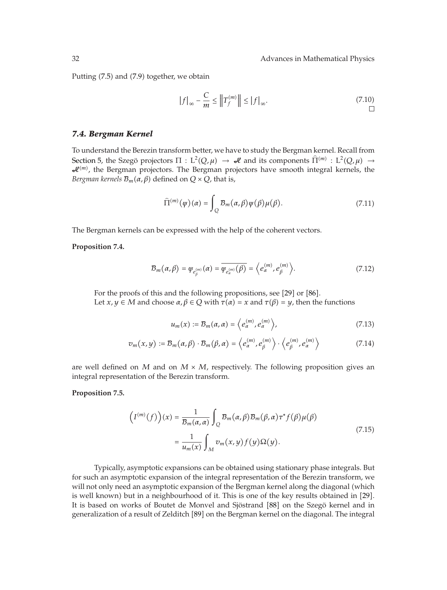Putting (7.5) and (7.9) together, we obtain

$$
|f|_{\infty} - \frac{C}{m} \le ||T_f^{(m)}|| \le |f|_{\infty}.
$$
\n(7.10)

### *7.4. Bergman Kernel*

To understand the Berezin transform better, we have to study the Bergman kernel. Recall from Section 5, the Szego projectors  $\Pi : L^2(Q, \mu) \to \mathcal{A}$  and its components  $\widehat{\Pi}^{(m)} : L^2(Q, \mu) \to \mathcal{A}$  $\mathcal{A}^{(m)}$ , the Bergman projectors. The Bergman projectors have smooth integral kernels, the *Bergman kernels*  $\mathcal{B}_m(\alpha,\beta)$  *defined on*  $Q \times Q$ *, that is,* 

$$
\widehat{\Pi}^{(m)}(\varphi)(\alpha) = \int_{Q} \mathcal{B}_{m}(\alpha, \beta) \psi(\beta) \mu(\beta). \tag{7.11}
$$

The Bergman kernels can be expressed with the help of the coherent vectors.

**Proposition 7.4.**

$$
\mathcal{B}_m(\alpha,\beta) = \psi_{e_\beta^{(m)}}(\alpha) = \overline{\psi_{e_\alpha^{(m)}}(\beta)} = \langle e_\alpha^{(m)}, e_\beta^{(m)} \rangle.
$$
 (7.12)

For the proofs of this and the following propositions, see [29] or [86]. Let  $x, y \in M$  and choose  $\alpha, \beta \in Q$  with  $\tau(\alpha) = x$  and  $\tau(\beta) = y$ , then the functions

$$
u_m(x) := \mathcal{B}_m(\alpha, \alpha) = \left\langle e_\alpha^{(m)}, e_\alpha^{(m)} \right\rangle, \tag{7.13}
$$

$$
v_m(x,y) := \mathcal{B}_m(\alpha,\beta) \cdot \mathcal{B}_m(\beta,\alpha) = \left\langle e_\alpha^{(m)}, e_\beta^{(m)} \right\rangle \cdot \left\langle e_\beta^{(m)}, e_\alpha^{(m)} \right\rangle \tag{7.14}
$$

are well defined on  $M$  and on  $M \times M$ , respectively. The following proposition gives an integral representation of the Berezin transform.

### **Proposition 7.5.**

$$
\left(I^{(m)}(f)\right)(x) = \frac{1}{\mathcal{B}_m(\alpha, \alpha)} \int_{Q} \mathcal{B}_m(\alpha, \beta) \mathcal{B}_m(\beta, \alpha) \tau^* f(\beta) \mu(\beta)
$$

$$
= \frac{1}{u_m(x)} \int_{M} v_m(x, y) f(y) \Omega(y).
$$
(7.15)

Typically, asymptotic expansions can be obtained using stationary phase integrals. But for such an asymptotic expansion of the integral representation of the Berezin transform, we will not only need an asymptotic expansion of the Bergman kernel along the diagonal (which is well known) but in a neighbourhood of it. This is one of the key results obtained in  $[29]$ . It is based on works of Boutet de Monvel and Sjöstrand [88] on the Szegö kernel and in generalization of a result of Zelditch [89] on the Bergman kernel on the diagonal. The integral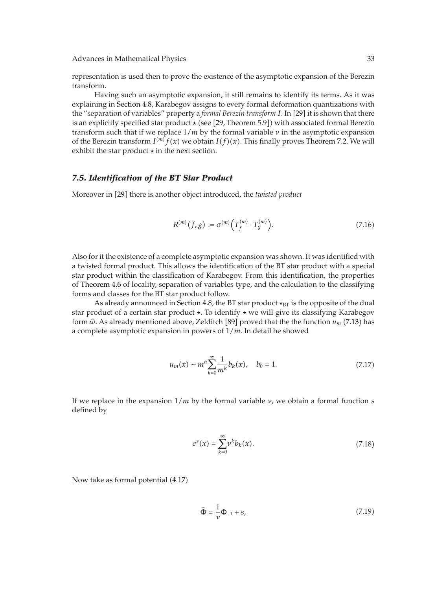representation is used then to prove the existence of the asymptotic expansion of the Berezin transform.

Having such an asymptotic expansion, it still remains to identify its terms. As it was explaining in Section 4.8, Karabegov assigns to every formal deformation quantizations with the "separation of variables" property a *formal Berezin transform I*. In [29] it is shown that there is an explicitly specified star product  $\star$  (see [29, Theorem 5.9]) with associated formal Berezin transform such that if we replace 1*/m* by the formal variable *ν* in the asymptotic expansion of the Berezin transform  $I^{(m)}f(x)$  we obtain  $I(f)(x)$ . This finally proves Theorem 7.2. We will exhibit the star product  in the next section.

### *7.5. Identification of the BT Star Product*

Moreover in [29] there is another object introduced, the *twisted product* 

$$
R^{(m)}(f,g) := \sigma^{(m)}\left(T_f^{(m)} \cdot T_g^{(m)}\right). \tag{7.16}
$$

Also for it the existence of a complete asymptotic expansion was shown. It was identified with a twisted formal product. This allows the identification of the BT star product with a special star product within the classification of Karabegov. From this identification, the properties of Theorem 4.6 of locality, separation of variables type, and the calculation to the classifying forms and classes for the BT star product follow.

As already announced in Section 4.8, the BT star product  $\star_{\text{BT}}$  is the opposite of the dual star product of a certain star product . To identify  we will give its classifying Karabegov form  $\hat{\omega}$ . As already mentioned above, Zelditch [89] proved that the the function  $u_m$  (7.13) has a complete asymptotic expansion in powers of 1*/m*. In detail he showed

$$
u_m(x) \sim m^n \sum_{k=0}^{\infty} \frac{1}{m^k} b_k(x), \quad b_0 = 1.
$$
 (7.17)

If we replace in the expansion 1*/m* by the formal variable *ν*, we obtain a formal function *s* defined by

$$
e^s(x) = \sum_{k=0}^{\infty} \gamma^k b_k(x). \tag{7.18}
$$

Now take as formal potential (4.17)

$$
\hat{\Phi} = \frac{1}{\nu} \Phi_{-1} + s,\tag{7.19}
$$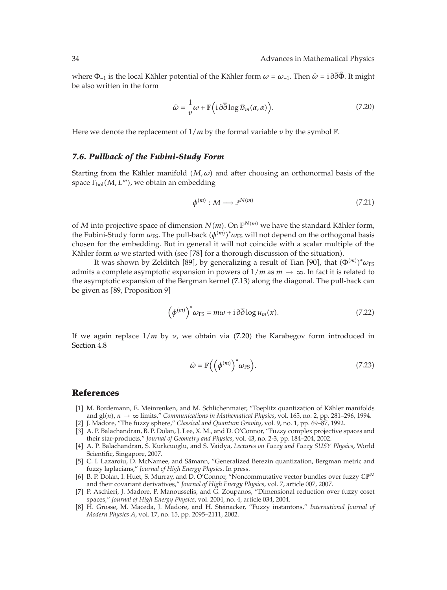where  $\Phi_{-1}$  is the local Kähler potential of the Kähler form  $\omega = \omega_{-1}$ . Then  $\hat{\omega} = i \partial \partial \Phi$ . It might be also written in the form

$$
\widehat{\omega} = -\frac{1}{\nu}\omega + \mathbb{F}\left(i\,\partial\overline{\partial}\log\mathcal{B}_m(\alpha,\alpha)\right). \tag{7.20}
$$

Here we denote the replacement of  $1/m$  by the formal variable  $\nu$  by the symbol  $\mathbb{F}$ .

#### *7.6. Pullback of the Fubini-Study Form*

Starting from the Kähler manifold  $(M,\omega)$  and after choosing an orthonormal basis of the space Γ<sub>hol</sub>(*M, L<sup>m</sup>*), we obtain an embedding

$$
\phi^{(m)}: M \longrightarrow \mathbb{P}^{N(m)} \tag{7.21}
$$

of *M* into projective space of dimension  $N(m)$ . On  $\mathbb{P}^{N(m)}$  we have the standard Kähler form, the Fubini-Study form  $\omega_{\text{FS}}$ . The pull-back  $(\phi^{(m)})^*\omega_{\text{FS}}$  will not depend on the orthogonal basis chosen for the embedding. But in general it will not coincide with a scalar multiple of the Kähler form  $\omega$  we started with (see [78] for a thorough discussion of the situation).

It was shown by Zelditch [89], by generalizing a result of Tian [90], that  $(\Phi^{(m)})^* \omega_{\text{FS}}$ admits a complete asymptotic expansion in powers of  $1/m$  as  $m \to \infty$ . In fact it is related to the asymptotic expansion of the Bergman kernel (7.13) along the diagonal. The pull-back can be given as [89, Proposition 9]

$$
\left(\phi^{(m)}\right)^{*}\omega_{\text{FS}} = m\omega + i\,\partial\overline{\partial}\log u_m(x). \tag{7.22}
$$

If we again replace  $1/m$  by *ν*, we obtain via (7.20) the Karabegov form introduced in Section 4.8

$$
\widehat{\omega} = \mathbb{F}\left(\left(\phi^{(m)}\right)^* \omega_{\text{FS}}\right). \tag{7.23}
$$

# **References**

- [1] M. Bordemann, E. Meinrenken, and M. Schlichenmaier, "Toeplitz quantization of Kähler manifolds and  $gl(n)$ ,  $n \to \infty$  limits," *Communications in Mathematical Physics*, vol. 165, no. 2, pp. 281–296, 1994.
- 2 J. Madore, "The fuzzy sphere," *Classical and Quantum Gravity*, vol. 9, no. 1, pp. 69–87, 1992.
- [3] A. P. Balachandran, B. P. Dolan, J. Lee, X. M., and D. O'Connor, "Fuzzy complex projective spaces and their star-products," *Journal of Geometry and Physics*, vol. 43, no. 2-3, pp. 184–204, 2002.
- 4 A. P. Balachandran, S. Kurkcuoglu, and S. Vaidya, *Lectures on Fuzzy and Fuzzy SUSY Physics*, World Scientific, Singapore, 2007.
- [5] C. I. Lazaroiu, D. McNamee, and Sämann, "Generalized Berezin quantization, Bergman metric and fuzzy laplacians," *Journal of High Energy Physics*. In press.
- [6] B. P. Dolan, I. Huet, S. Murray, and D. O'Connor, "Noncommutative vector bundles over fuzzy  $\mathbb{CP}^N$ and their covariant derivatives," *Journal of High Energy Physics*, vol. 7, article 007, 2007.
- 7 P. Aschieri, J. Madore, P. Manousselis, and G. Zoupanos, "Dimensional reduction over fuzzy coset spaces," *Journal of High Energy Physics*, vol. 2004, no. 4, article 034, 2004.
- 8 H. Grosse, M. Maceda, J. Madore, and H. Steinacker, "Fuzzy instantons," *International Journal of Modern Physics A*, vol. 17, no. 15, pp. 2095–2111, 2002.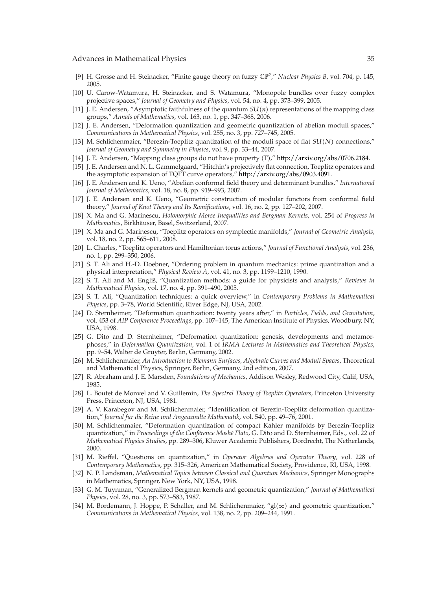- 9 H. Grosse and H. Steinacker, "Finite gauge theory on fuzzy CP2," *Nuclear Physics B*, vol. 704, p. 145, 2005.
- [10] U. Carow-Watamura, H. Steinacker, and S. Watamura, "Monopole bundles over fuzzy complex projective spaces," *Journal of Geometry and Physics*, vol. 54, no. 4, pp. 373–399, 2005.
- [11] J. E. Andersen, "Asymptotic faithfulness of the quantum  $SU(n)$  representations of the mapping class groups," *Annals of Mathematics*, vol. 163, no. 1, pp. 347–368, 2006.
- 12 J. E. Andersen, "Deformation quantization and geometric quantization of abelian moduli spaces," *Communications in Mathematical Physics*, vol. 255, no. 3, pp. 727–745, 2005.
- [13] M. Schlichenmaier, "Berezin-Toeplitz quantization of the moduli space of flat  $SU(N)$  connections," *Journal of Geometry and Symmetry in Physics*, vol. 9, pp. 33–44, 2007.
- [14] J. E. Andersen, "Mapping class groups do not have property (T)," http://arxiv.org/abs/0706.2184.
- 15 J. E. Andersen and N. L. Gammelgaard, "Hitchin's projectively flat connection, Toeplitz operators and the asymptotic expansion of TQFT curve operators," http://arxiv.org/abs/0903.4091.
- 16 J. E. Andersen and K. Ueno, "Abelian conformal field theory and determinant bundles," *International Journal of Mathematics*, vol. 18, no. 8, pp. 919–993, 2007.
- 17 J. E. Andersen and K. Ueno, "Geometric construction of modular functors from conformal field theory," *Journal of Knot Theory and Its Ramifications*, vol. 16, no. 2, pp. 127–202, 2007.
- 18 X. Ma and G. Marinescu, *Holomorphic Morse Inequalities and Bergman Kernels*, vol. 254 of *Progress in Mathematics*, Birkhauser, Basel, Switzerland, 2007. ¨
- 19 X. Ma and G. Marinescu, "Toeplitz operators on symplectic manifolds," *Journal of Geometric Analysis*, vol. 18, no. 2, pp. 565–611, 2008.
- 20 L. Charles, "Toeplitz operators and Hamiltonian torus actions," *Journal of Functional Analysis*, vol. 236, no. 1, pp. 299–350, 2006.
- 21 S. T. Ali and H.-D. Doebner, "Ordering problem in quantum mechanics: prime quantization and a physical interpretation," *Physical Review A*, vol. 41, no. 3, pp. 1199–1210, 1990.
- [22] S. T. Ali and M. Engliš, "Quantization methods: a guide for physicists and analysts," Reviews in *Mathematical Physics*, vol. 17, no. 4, pp. 391–490, 2005.
- 23 S. T. Ali, "Quantization techniques: a quick overview," in *Contemporary Problems in Mathematical Physics*, pp. 3–78, World Scientific, River Edge, NJ, USA, 2002.
- 24 D. Sternheimer, "Deformation quantization: twenty years after," in *Particles, Fields, and Gravitation*, vol. 453 of *AIP Conference Proceedings*, pp. 107–145, The American Institute of Physics, Woodbury, NY, USA, 1998.
- [25] G. Dito and D. Sternheimer, "Deformation quantization: genesis, developments and metamorphoses," in *Deformation Quantization*, vol. 1 of *IRMA Lectures in Mathematics and Theoretical Physics*, pp. 9–54, Walter de Gruyter, Berlin, Germany, 2002.
- 26 M. Schlichenmaier, *An Introduction to Riemann Surfaces, Algebraic Curves and Moduli Spaces*, Theoretical and Mathematical Physics, Springer, Berlin, Germany, 2nd edition, 2007.
- 27 R. Abraham and J. E. Marsden, *Foundations of Mechanics*, Addison Wesley, Redwood City, Calif, USA, 1985.
- 28 L. Boutet de Monvel and V. Guillemin, *The Spectral Theory of Toeplitz Operators*, Princeton University Press, Princeton, NJ, USA, 1981.
- 29 A. V. Karabegov and M. Schlichenmaier, "Identification of Berezin-Toeplitz deformation quantization," Journal für die Reine und Angewandte Mathematik, vol. 540, pp. 49-76, 2001.
- [30] M. Schlichenmaier, "Deformation quantization of compact Kähler manifolds by Berezin-Toeplitz quantization," in *Proceedings of the Conférence Moshé Flato*, G. Dito and D. Sternheimer, Eds., vol. 22 of *Mathematical Physics Studies*, pp. 289–306, Kluwer Academic Publishers, Dordrecht, The Netherlands, 2000.
- 31 M. Rieffel, "Questions on quantization," in *Operator Algebras and Operator Theory*, vol. 228 of *Contemporary Mathematics*, pp. 315–326, American Mathematical Society, Providence, RI, USA, 1998.
- 32 N. P. Landsman, *Mathematical Topics between Classical and Quantum Mechanics*, Springer Monographs in Mathematics, Springer, New York, NY, USA, 1998.
- 33 G. M. Tuynman, "Generalized Bergman kernels and geometric quantization," *Journal of Mathematical Physics*, vol. 28, no. 3, pp. 573–583, 1987.
- [34] M. Bordemann, J. Hoppe, P. Schaller, and M. Schlichenmaier, " $gl(\infty)$  and geometric quantization," *Communications in Mathematical Physics*, vol. 138, no. 2, pp. 209–244, 1991.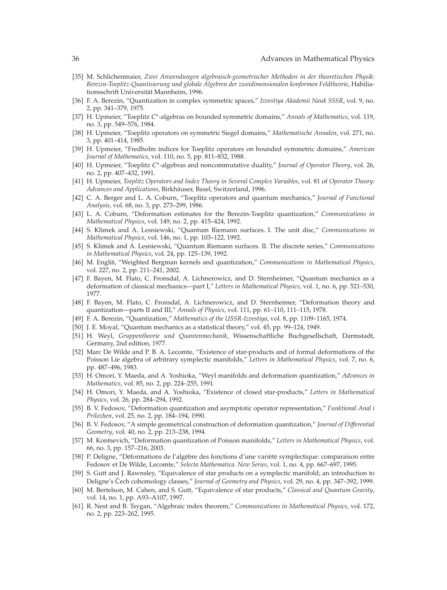- 35 M. Schlichenmaier, *Zwei Anwendungen algebraisch-geometrischer Methoden in der theoretischen Physik: Berezin-Toeplitz-Quantisierung und globale Algebren der zweidimensionalen konformen Feldtheorie*, Habiliationsschrift Universität Mannheim, 1996.
- 36 F. A. Berezin, "Quantization in complex symmetric spaces," *Izvestiya Akademii Nauk SSSR*, vol. 9, no. 2, pp. 341–379, 1975.
- 37 H. Upmeier, "Toeplitz *C*∗-algebras on bounded symmetric domains," *Annals of Mathematics*, vol. 119, no. 3, pp. 549–576, 1984.
- 38 H. Upmeier, "Toeplitz operators on symmetric Siegel domains," *Mathematische Annalen*, vol. 271, no. 3, pp. 401–414, 1985.
- 39 H. Upmeier, "Fredholm indices for Toeplitz operators on bounded symmetric domains," *American Journal of Mathematics*, vol. 110, no. 5, pp. 811–832, 1988.
- 40 H. Upmeier, "Toeplitz *C*∗-algebras and noncommutative duality," *Journal of Operator Theory*, vol. 26, no. 2, pp. 407–432, 1991.
- 41 H. Upmeier, *Toeplitz Operators and Index Theory in Several Complex Variables*, vol. 81 of *Operator Theory: Advances and Applications*, Birkhauser, Basel, Switzerland, 1996. ¨
- 42 C. A. Berger and L. A. Coburn, "Toeplitz operators and quantum mechanics," *Journal of Functional Analysis*, vol. 68, no. 3, pp. 273–299, 1986.
- 43 L. A. Coburn, "Deformation estimates for the Berezin-Toeplitz quantization," *Communications in Mathematical Physics*, vol. 149, no. 2, pp. 415–424, 1992.
- 44 S. Klimek and A. Lesniewski, "Quantum Riemann surfaces. I. The unit disc," *Communications in Mathematical Physics*, vol. 146, no. 1, pp. 103–122, 1992.
- 45 S. Klimek and A. Lesniewski, "Quantum Riemann surfaces. II. The discrete series," *Communications in Mathematical Physics*, vol. 24, pp. 125–139, 1992.
- 46 M. Englis, "Weighted Bergman kernels and quantization," ˇ *Communications in Mathematical Physics*, vol. 227, no. 2, pp. 211–241, 2002.
- 47 F. Bayen, M. Flato, C. Fronsdal, A. Lichnerowicz, and D. Sternheimer, "Quantum mechanics as a deformation of classical mechanics—part I," *Letters in Mathematical Physics*, vol. 1, no. 6, pp. 521–530, 1977.
- [48] F. Bayen, M. Flato, C. Fronsdal, A. Lichnerowicz, and D. Sternheimer, "Deformation theory and quantization—parts II and III," *Annals of Physics*, vol. 111, pp. 61–110, 111–115, 1978.
- 49 F. A. Berezin, "Quantization," *Mathematics of the USSR-Izvestiya*, vol. 8, pp. 1109–1165, 1974.
- 50 J. E. Moyal, "Quantum mechanics as a statistical theory," vol. 45, pp. 99–124, 1949.
- 51 H. Weyl, *Gruppentheorie und Quantenmechanik*, Wissenschaftliche Buchgesellschaft, Darmstadt, Germany, 2nd edition, 1977.
- [52] Marc De Wilde and P. B. A. Lecomte, "Existence of star-products and of formal deformations of the Poisson Lie algebra of arbitrary symplectic manifolds," *Letters in Mathematical Physics*, vol. 7, no. 6, pp. 487–496, 1983.
- 53 H. Omori, Y. Maeda, and A. Yoshioka, "Weyl manifolds and deformation quantization," *Advances in Mathematics*, vol. 85, no. 2, pp. 224–255, 1991.
- 54 H. Omori, Y. Maeda, and A. Yoshioka, "Existence of closed star-products," *Letters in Mathematical Physics*, vol. 26, pp. 284–294, 1992.
- 55 B. V. Fedosov, "Deformation quantization and asymptotic operator representation," *Funktional Anal i Prilozhen*, vol. 25, no. 2, pp. 184–194, 1990.
- 56 B. V. Fedosov, "A simple geometrical construction of deformation quantization," *Journal of Differential Geometry*, vol. 40, no. 2, pp. 213–238, 1994.
- 57 M. Kontsevich, "Deformation quantization of Poisson manifolds," *Letters in Mathematical Physics*, vol. 66, no. 3, pp. 157–216, 2003.
- [58] P. Deligne, "Déformations de l'algèbre des fonctions d'une varièté symplectique: comparaison entre Fedosov et De Wilde, Lecomte," *Selecta Mathematica. New Series*, vol. 1, no. 4, pp. 667–697, 1995.
- 59 S. Gutt and J. Rawnsley, "Equivalence of star products on a symplectic manifold; an introduction to Deligne's Cech cohomology classes," *Journal of Geometry and Physics*, vol. 29, no. 4, pp. 347–392, 1999.
- 60 M. Bertelson, M. Cahen, and S. Gutt, "Equivalence of star products," *Classical and Quantum Gravity*, vol. 14, no. 1, pp. A93–A107, 1997.
- 61 R. Nest and B. Tsygan, "Algebraic index theorem," *Communications in Mathematical Physics*, vol. 172, no. 2, pp. 223–262, 1995.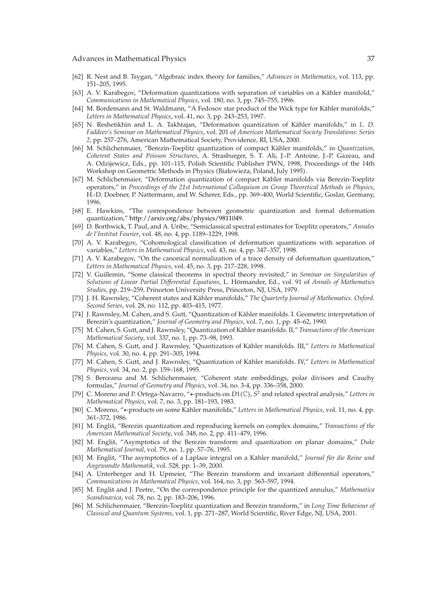- 62 R. Nest and B. Tsygan, "Algebraic index theory for families," *Advances in Mathematics*, vol. 113, pp. 151–205, 1995.
- [63] A. V. Karabegov, "Deformation quantizations with separation of variables on a Kähler manifold," *Communications in Mathematical Physics*, vol. 180, no. 3, pp. 745–755, 1996.
- [64] M. Bordemann and St. Waldmann, "A Fedosov star product of the Wick type for Kähler manifolds," *Letters in Mathematical Physics*, vol. 41, no. 3, pp. 243–253, 1997.
- [65] N. Reshetikhin and L. A. Takhtajan, "Deformation quantization of Kähler manifolds," in L. D. *Faddeev's Seminar on Mathematical Physics*, vol. 201 of *American Mathematical Society Translations: Series 2*, pp. 257–276, American Mathematical Society, Providence, RI, USA, 2000.
- [66] M. Schlichenmaier, "Berezin-Toeplitz quantization of compact Kähler manifolds," in *Quantization*, *Coherent States and Poisson Structures*, A. Strasburger, S. T. Ali, J.-P. Antoine, J.-P. Gazeau, and A. Odzijewicz, Eds., pp. 101–115, Polish Scientific Publisher PWN, 1998, Proceedings of the 14th Workshop on Geometric Methods in Physics (Białowieża, Poland, July 1995).
- [67] M. Schlichenmaier, "Deformation quantization of compact Kähler manifolds via Berezin-Toeplitz operators," in *Proceedings of the 21st International Colloquium on Group Theoretical Methods in Physics*, H.-D. Doebner, P. Nattermann, and W. Scherer, Eds., pp. 369–400, World Scientific, Goslar, Germany, 1996.
- 68 E. Hawkins, "The correspondence between geometric quantization and formal deformation quantization," http://arxiv.org/abs/physics/9811049.
- 69 D. Borthwick, T. Paul, and A. Uribe, "Semiclassical spectral estimates for Toeplitz operators," *Annales de l'Institut Fourier*, vol. 48, no. 4, pp. 1189–1229, 1998.
- [70] A. V. Karabegov, "Cohomological classification of deformation quantizations with separation of variables," *Letters in Mathematical Physics*, vol. 43, no. 4, pp. 347–357, 1998.
- [71] A. V. Karabegov, "On the canonical normalization of a trace density of deformation quantization," *Letters in Mathematical Physics*, vol. 45, no. 3, pp. 217–228, 1998.
- 72 V. Guillemin, "Some classical theorems in spectral theory revisited," in *Seminar on Singularities of Solutions of Linear Partial Differential Equations*, L. Hörmander, Ed., vol. 91 of *Annals of Mathematics Studies*, pp. 219–259, Princeton University Press, Princeton, NJ, USA, 1979.
- [73] J. H. Rawnsley, "Coherent states and Kähler manifolds," The Quarterly Journal of Mathematics. Oxford. *Second Series*, vol. 28, no. 112, pp. 403–415, 1977.
- [74] J. Rawnsley, M. Cahen, and S. Gutt, "Quantization of Kähler manifolds. I. Geometric interpretation of Berezin's quantization," *Journal of Geometry and Physics*, vol. 7, no. 1, pp. 45–62, 1990.
- [75] M. Cahen, S. Gutt, and J. Rawnsley, "Quantization of Kähler manifolds. II," *Transactions of the American Mathematical Society*, vol. 337, no. 1, pp. 73–98, 1993.
- 76 M. Cahen, S. Gutt, and J. Rawnsley, "Quantization of Kahler manifolds. III," ¨ *Letters in Mathematical Physics*, vol. 30, no. 4, pp. 291–305, 1994.
- [77] M. Cahen, S. Gutt, and J. Rawnsley, "Quantization of Kähler manifolds. IV," Letters in Mathematical *Physics*, vol. 34, no. 2, pp. 159–168, 1995.
- 78 S. Berceanu and M. Schlichenmaier, "Coherent state embeddings, polar divisors and Cauchy formulas," *Journal of Geometry and Physics*, vol. 34, no. 3-4, pp. 336–358, 2000.
- [79] C. Moreno and P. Ortega-Navarro, "\*-products on D1(℃), S<sup>2</sup> and related spectral analysis," Letters in *Mathematical Physics*, vol. 7, no. 3, pp. 181–193, 1983.
- [80] C. Moreno, "∗-products on some Kähler manifolds," *Letters in Mathematical Physics*, vol. 11, no. 4, pp. 361–372, 1986.
- [81] M. Englis, "Berezin quantization and reproducing kernels on complex domains," *Transactions of the American Mathematical Society*, vol. 348, no. 2, pp. 411–479, 1996.
- [82] M. Engliš, "Asymptotics of the Berezin transform and quantization on planar domains," Duke *Mathematical Journal*, vol. 79, no. 1, pp. 57–76, 1995.
- [83] M. Engliš, "The asymptotics of a Laplace integral on a Kähler manifold," *Journal für die Reine und Angewandte Mathematik*, vol. 528, pp. 1–39, 2000.
- [84] A. Unterberger and H. Upmeier, "The Berezin transform and invariant differential operators," *Communications in Mathematical Physics*, vol. 164, no. 3, pp. 563–597, 1994.
- [85] M. Engliš and J. Peetre, "On the correspondence principle for the quantized annulus," Mathematica *Scandinavica*, vol. 78, no. 2, pp. 183–206, 1996.
- 86 M. Schlichenmaier, "Berezin-Toeplitz quantization and Berezin transform," in *Long Time Behaviour of Classical and Quantum Systems*, vol. 1, pp. 271–287, World Scientific, River Edge, NJ, USA, 2001.